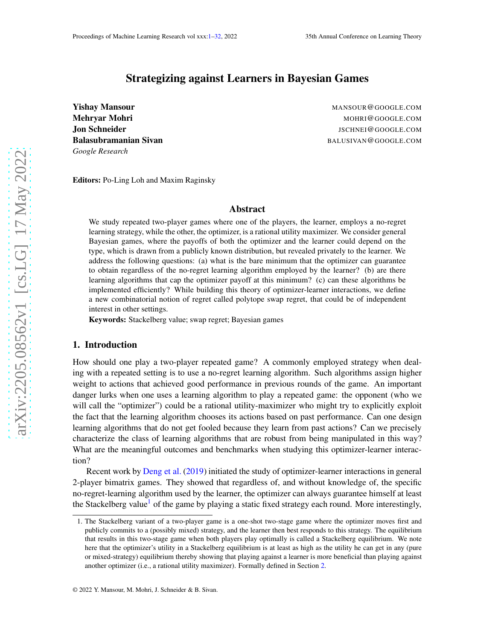# Strategizing against Learners in Bayesian Games

<span id="page-0-0"></span>**Yishay Mansour** Mansour Mansour Mansour Mansour Mansour Mansour Mansour Mansour Mansour Mansour Mansour Mansour *Google Research*

**Mehryar Mohri** Material Metal Metal Mohri Mohri Mohri Mohri Mohri Mohri Mohri Mohri Mohri Mohri Mohri Mohri Mo Jon Schneider **Jones Schneider Australian Schneider** JSCHNEI@GOOGLE.COM Balasubramanian Sivan Balasubramanian Sivan Balasubramanian Sivan Balasubramanian Sivan Balasubramanian Sivan

Editors: Po-Ling Loh and Maxim Raginsky

# Abstract

We study repeated two-player games where one of the players, the learner, employs a no-regret learning strategy, while the other, the optimizer, is a rational utility maximizer. We consider general Bayesian games, where the payoffs of both the optimizer and the learner could depend on the type, which is drawn from a publicly known distribution, but revealed privately to the learner. We address the following questions: (a) what is the bare minimum that the optimizer can guarantee to obtain regardless of the no-regret learning algorithm employed by the learner? (b) are there learning algorithms that cap the optimizer payoff at this minimum? (c) can these algorithms be implemented efficiently? While building this theory of optimizer-learner interactions, we define a new combinatorial notion of regret called polytope swap regret, that could be of independent interest in other settings.

Keywords: Stackelberg value; swap regret; Bayesian games

#### 1. Introduction

How should one play a two-player repeated game? A commonly employed strategy when dealing with a repeated setting is to use a no-regret learning algorithm. Such algorithms assign higher weight to actions that achieved good performance in previous rounds of the game. An important danger lurks when one uses a learning algorithm to play a repeated game: the opponent (who we will call the "optimizer") could be a rational utility-maximizer who might try to explicitly exploit the fact that the learning algorithm chooses its actions based on past performance. Can one design learning algorithms that do not get fooled because they learn from past actions? Can we precisely characterize the class of learning algorithms that are robust from being manipulated in this way? What are the meaningful outcomes and benchmarks when studying this optimizer-learner interaction?

Recent work by [Deng et al.](#page-12-0) [\(2019](#page-12-0)) initiated the study of optimizer-learner interactions in general 2-player bimatrix games. They showed that regardless of, and without knowledge of, the specific no-regret-learning algorithm used by the learner, the optimizer can always guarantee himself at least the Stackelberg value<sup>[1](#page-0-1)</sup> of the game by playing a static fixed strategy each round. More interestingly,

<span id="page-0-1"></span><sup>1.</sup> The Stackelberg variant of a two-player game is a one-shot two-stage game where the optimizer moves first and publicly commits to a (possibly mixed) strategy, and the learner then best responds to this strategy. The equilibrium that results in this two-stage game when both players play optimally is called a Stackelberg equilibrium. We note here that the optimizer's utility in a Stackelberg equilibrium is at least as high as the utility he can get in any (pure or mixed-strategy) equilibrium thereby showing that playing against a learner is more beneficial than playing against another optimizer (i.e., a rational utility maximizer). Formally defined in Section [2.](#page-3-0)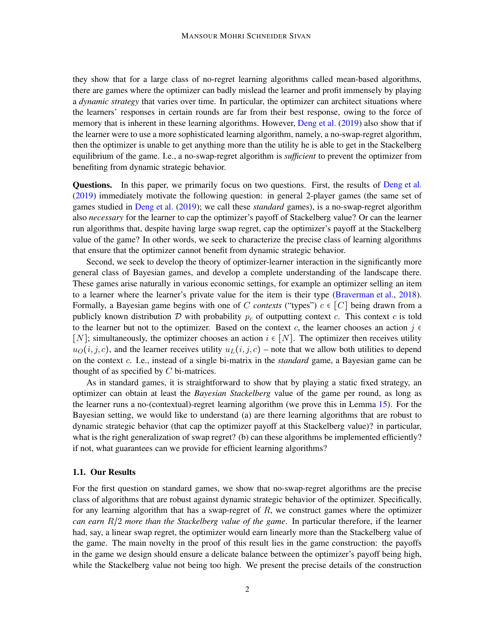they show that for a large class of no-regret learning algorithms called mean-based algorithms, there are games where the optimizer can badly mislead the learner and profit immensely by playing a *dynamic strategy* that varies over time. In particular, the optimizer can architect situations where the learners' responses in certain rounds are far from their best response, owing to the force of memory that is inherent in these learning algorithms. However, [Deng et al.](#page-12-0) [\(2019](#page-12-0)) also show that if the learner were to use a more sophisticated learning algorithm, namely, a no-swap-regret algorithm, then the optimizer is unable to get anything more than the utility he is able to get in the Stackelberg equilibrium of the game. I.e., a no-swap-regret algorithm is *sufficient* to prevent the optimizer from benefiting from dynamic strategic behavior.

Questions. In this paper, we primarily focus on two questions. First, the results of [Deng et al.](#page-12-0) [\(2019](#page-12-0)) immediately motivate the following question: in general 2-player games (the same set of games studied in [Deng et al.](#page-12-0) [\(2019](#page-12-0)); we call these *standard* games), is a no-swap-regret algorithm also *necessary* for the learner to cap the optimizer's payoff of Stackelberg value? Or can the learner run algorithms that, despite having large swap regret, cap the optimizer's payoff at the Stackelberg value of the game? In other words, we seek to characterize the precise class of learning algorithms that ensure that the optimizer cannot benefit from dynamic strategic behavior.

Second, we seek to develop the theory of optimizer-learner interaction in the significantly more general class of Bayesian games, and develop a complete understanding of the landscape there. These games arise naturally in various economic settings, for example an optimizer selling an item to a learner where the learner's private value for the item is their type [\(Braverman et al.](#page-12-1), [2018](#page-12-1)). Formally, a Bayesian game begins with one of C *contexts* ("types")  $c \in [C]$  being drawn from a publicly known distribution  $D$  with probability  $p_c$  of outputting context  $c$ . This context  $c$  is told to the learner but not to the optimizer. Based on the context c, the learner chooses an action  $j \in \mathbb{C}$ [N]; simultaneously, the optimizer chooses an action  $i \in [N]$ . The optimizer then receives utility  $u<sub>O</sub>(i, j, c)$ , and the learner receives utility  $u<sub>L</sub>(i, j, c)$  – note that we allow both utilities to depend on the context c. I.e., instead of a single bi-matrix in the *standard* game, a Bayesian game can be thought of as specified by  $C$  bi-matrices.

As in standard games, it is straightforward to show that by playing a static fixed strategy, an optimizer can obtain at least the *Bayesian Stackelberg* value of the game per round, as long as the learner runs a no-(contextual)-regret learning algorithm (we prove this in Lemma [15\)](#page-21-0). For the Bayesian setting, we would like to understand (a) are there learning algorithms that are robust to dynamic strategic behavior (that cap the optimizer payoff at this Stackelberg value)? in particular, what is the right generalization of swap regret? (b) can these algorithms be implemented efficiently? if not, what guarantees can we provide for efficient learning algorithms?

### 1.1. Our Results

For the first question on standard games, we show that no-swap-regret algorithms are the precise class of algorithms that are robust against dynamic strategic behavior of the optimizer. Specifically, for any learning algorithm that has a swap-regret of  $R$ , we construct games where the optimizer *can earn* R/2 *more than the Stackelberg value of the game*. In particular therefore, if the learner had, say, a linear swap regret, the optimizer would earn linearly more than the Stackelberg value of the game. The main novelty in the proof of this result lies in the game construction: the payoffs in the game we design should ensure a delicate balance between the optimizer's payoff being high, while the Stackelberg value not being too high. We present the precise details of the construction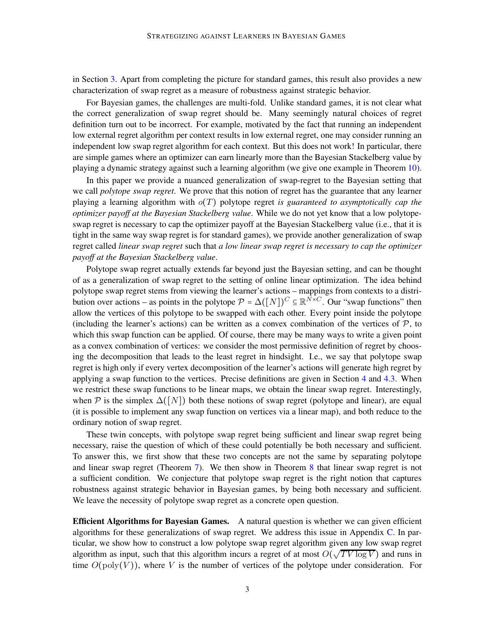in Section [3.](#page-6-0) Apart from completing the picture for standard games, this result also provides a new characterization of swap regret as a measure of robustness against strategic behavior.

For Bayesian games, the challenges are multi-fold. Unlike standard games, it is not clear what the correct generalization of swap regret should be. Many seemingly natural choices of regret definition turn out to be incorrect. For example, motivated by the fact that running an independent low external regret algorithm per context results in low external regret, one may consider running an independent low swap regret algorithm for each context. But this does not work! In particular, there are simple games where an optimizer can earn linearly more than the Bayesian Stackelberg value by playing a dynamic strategy against such a learning algorithm (we give one example in Theorem [10\)](#page-17-0).

In this paper we provide a nuanced generalization of swap-regret to the Bayesian setting that we call *polytope swap regret*. We prove that this notion of regret has the guarantee that any learner playing a learning algorithm with o(T) polytope regret *is guaranteed to asymptotically cap the optimizer payoff at the Bayesian Stackelberg value*. While we do not yet know that a low polytopeswap regret is necessary to cap the optimizer payoff at the Bayesian Stackelberg value (i.e., that it is tight in the same way swap regret is for standard games), we provide another generalization of swap regret called *linear swap regret* such that *a low linear swap regret is necessary to cap the optimizer payoff at the Bayesian Stackelberg value*.

Polytope swap regret actually extends far beyond just the Bayesian setting, and can be thought of as a generalization of swap regret to the setting of online linear optimization. The idea behind polytope swap regret stems from viewing the learner's actions – mappings from contexts to a distribution over actions – as points in the polytope  $\mathcal{P} = \Delta([N])^C \subseteq \mathbb{R}^{\tilde{N} \times C}$ . Our "swap functions" then allow the vertices of this polytope to be swapped with each other. Every point inside the polytope (including the learner's actions) can be written as a convex combination of the vertices of  $P$ , to which this swap function can be applied. Of course, there may be many ways to write a given point as a convex combination of vertices: we consider the most permissive definition of regret by choosing the decomposition that leads to the least regret in hindsight. I.e., we say that polytope swap regret is high only if every vertex decomposition of the learner's actions will generate high regret by applying a swap function to the vertices. Precise definitions are given in Section [4](#page-7-0) and [4.3.](#page-10-0) When we restrict these swap functions to be linear maps, we obtain the linear swap regret. Interestingly, when  $\mathcal P$  is the simplex  $\Delta([N])$  both these notions of swap regret (polytope and linear), are equal (it is possible to implement any swap function on vertices via a linear map), and both reduce to the ordinary notion of swap regret.

These twin concepts, with polytope swap regret being sufficient and linear swap regret being necessary, raise the question of which of these could potentially be both necessary and sufficient. To answer this, we first show that these two concepts are not the same by separating polytope and linear swap regret (Theorem [7\)](#page-15-0). We then show in Theorem [8](#page-15-1) that linear swap regret is not a sufficient condition. We conjecture that polytope swap regret is the right notion that captures robustness against strategic behavior in Bayesian games, by being both necessary and sufficient. We leave the necessity of polytope swap regret as a concrete open question.

Efficient Algorithms for Bayesian Games. A natural question is whether we can given efficient algorithms for these generalizations of swap regret. We address this issue in Appendix [C.](#page-16-0) In particular, we show how to construct a low polytope swap regret algorithm given any low swap regret algorithm as input, such that this algorithm incurs a regret of at most  $O(\sqrt{TV \log V})$  and runs in time  $O(poly(V))$ , where V is the number of vertices of the polytope under consideration. For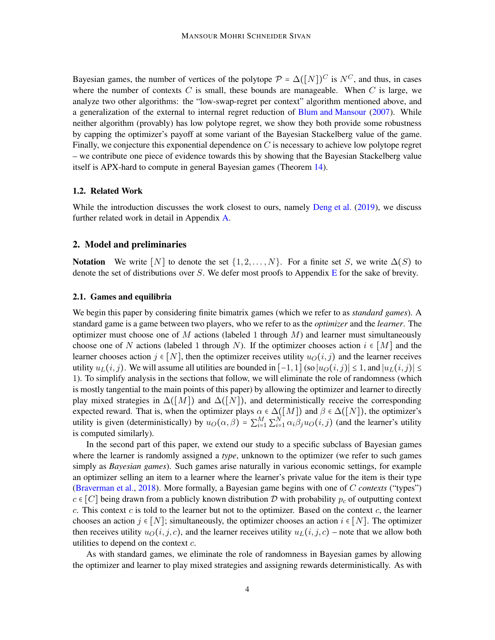Bayesian games, the number of vertices of the polytope  $\mathcal{P} = \Delta([N])^C$  is  $N^C$ , and thus, in cases where the number of contexts C is small, these bounds are manageable. When C is large, we analyze two other algorithms: the "low-swap-regret per context" algorithm mentioned above, and a generalization of the external to internal regret reduction of [Blum and Mansour](#page-12-2) [\(2007](#page-12-2)). While neither algorithm (provably) has low polytope regret, we show they both provide some robustness by capping the optimizer's payoff at some variant of the Bayesian Stackelberg value of the game. Finally, we conjecture this exponential dependence on  $C$  is necessary to achieve low polytope regret – we contribute one piece of evidence towards this by showing that the Bayesian Stackelberg value itself is APX-hard to compute in general Bayesian games (Theorem [14\)](#page-21-1).

## 1.2. Related Work

While the introduction discusses the work closest to ours, namely [Deng et al.](#page-12-0) [\(2019](#page-12-0)), we discuss further related work in detail in Appendix [A.](#page-14-0)

# <span id="page-3-0"></span>2. Model and preliminaries

**Notation** We write  $[N]$  to denote the set  $\{1, 2, ..., N\}$ . For a finite set S, we write  $\Delta(S)$  to denote the set of distributions over S. We defer most proofs to Appendix [E](#page-22-0) for the sake of brevity.

## <span id="page-3-1"></span>2.1. Games and equilibria

We begin this paper by considering finite bimatrix games (which we refer to as *standard games*). A standard game is a game between two players, who we refer to as the *optimizer* and the *learner*. The optimizer must choose one of M actions (labeled 1 through  $M$ ) and learner must simultaneously choose one of N actions (labeled 1 through N). If the optimizer chooses action  $i \in [M]$  and the learner chooses action  $j \in [N]$ , then the optimizer receives utility  $u_O(i, j)$  and the learner receives utility  $u_L(i, j)$ . We will assume all utilities are bounded in  $[-1, 1]$  (so  $|u_O(i, j)| \leq 1$ , and  $|u_L(i, j)| \leq 1$ 1). To simplify analysis in the sections that follow, we will eliminate the role of randomness (which is mostly tangential to the main points of this paper) by allowing the optimizer and learner to directly play mixed strategies in  $\Delta([M])$  and  $\Delta([N])$ , and deterministically receive the corresponding expected reward. That is, when the optimizer plays  $\alpha \in \Delta([M])$  and  $\beta \in \Delta([N])$ , the optimizer's utility is given (deterministically) by  $u_O(\alpha, \beta) = \sum_{i=1}^{M} \sum_{i=1}^{N} \alpha_i \beta_j u_O(i, j)$  (and the learner's utility is computed similarly).

In the second part of this paper, we extend our study to a specific subclass of Bayesian games where the learner is randomly assigned a *type*, unknown to the optimizer (we refer to such games simply as *Bayesian games*). Such games arise naturally in various economic settings, for example an optimizer selling an item to a learner where the learner's private value for the item is their type [\(Braverman et al.,](#page-12-1) [2018\)](#page-12-1). More formally, a Bayesian game begins with one of C *contexts* ("types")  $c \in [C]$  being drawn from a publicly known distribution D with probability  $p_c$  of outputting context c. This context  $c$  is told to the learner but not to the optimizer. Based on the context  $c$ , the learner chooses an action  $j \in [N]$ ; simultaneously, the optimizer chooses an action  $i \in [N]$ . The optimizer then receives utility  $u_O(i, j, c)$ , and the learner receives utility  $u_L(i, j, c)$  – note that we allow both utilities to depend on the context  $c$ .

As with standard games, we eliminate the role of randomness in Bayesian games by allowing the optimizer and learner to play mixed strategies and assigning rewards deterministically. As with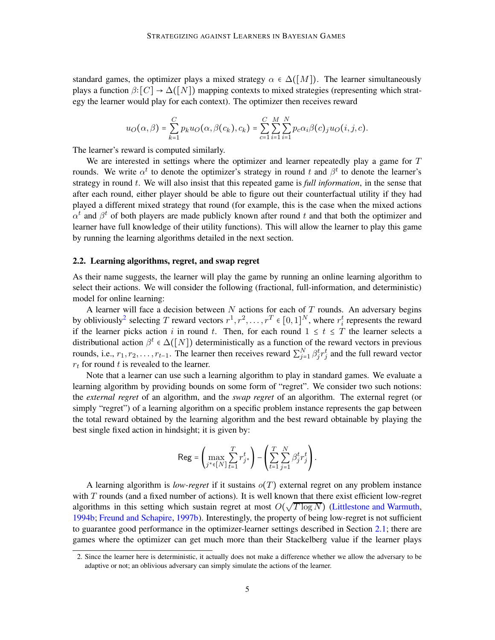standard games, the optimizer plays a mixed strategy  $\alpha \in \Delta([M])$ . The learner simultaneously plays a function  $\beta$ : [C]  $\rightarrow \Delta([N])$  mapping contexts to mixed strategies (representing which strategy the learner would play for each context). The optimizer then receives reward

$$
u_O(\alpha,\beta) = \sum_{k=1}^C p_k u_O(\alpha,\beta(c_k),c_k) = \sum_{c=1}^C \sum_{i=1}^M \sum_{i=1}^N p_c \alpha_i \beta(c)_j u_O(i,j,c).
$$

The learner's reward is computed similarly.

We are interested in settings where the optimizer and learner repeatedly play a game for  $T$ rounds. We write  $\alpha^t$  to denote the optimizer's strategy in round t and  $\beta^t$  to denote the learner's strategy in round t. We will also insist that this repeated game is *full information*, in the sense that after each round, either player should be able to figure out their counterfactual utility if they had played a different mixed strategy that round (for example, this is the case when the mixed actions  $\alpha^t$  and  $\beta^t$  of both players are made publicly known after round t and that both the optimizer and learner have full knowledge of their utility functions). This will allow the learner to play this game by running the learning algorithms detailed in the next section.

#### <span id="page-4-1"></span>2.2. Learning algorithms, regret, and swap regret

As their name suggests, the learner will play the game by running an online learning algorithm to select their actions. We will consider the following (fractional, full-information, and deterministic) model for online learning:

A learner will face a decision between  $N$  actions for each of  $T$  rounds. An adversary begins by obliviously<sup>[2](#page-4-0)</sup> selecting T reward vectors  $r^1, r^2, \ldots, r^T \in [0, 1]^N$ , where  $r_i^t$  represents the reward if the learner picks action i in round t. Then, for each round  $1 \le t \le T$  the learner selects a distributional action  $\beta^t \in \Delta([N])$  deterministically as a function of the reward vectors in previous rounds, i.e.,  $r_1, r_2, \ldots, r_{t-1}$ . The learner then receives reward  $\sum_{j=1}^N \beta_j^t r_j^t$  and the full reward vector  $r_t$  for round t is revealed to the learner.

Note that a learner can use such a learning algorithm to play in standard games. We evaluate a learning algorithm by providing bounds on some form of "regret". We consider two such notions: the *external regret* of an algorithm, and the *swap regret* of an algorithm. The external regret (or simply "regret") of a learning algorithm on a specific problem instance represents the gap between the total reward obtained by the learning algorithm and the best reward obtainable by playing the best single fixed action in hindsight; it is given by:

$$
\mathsf{Reg} = \left(\max_{j^* \in [N]} \sum_{t=1}^T r_{j^*}^t\right) - \left(\sum_{t=1}^T \sum_{j=1}^N \beta_j^t r_j^t\right).
$$

A learning algorithm is *low-regret* if it sustains  $o(T)$  external regret on any problem instance with  $T$  rounds (and a fixed number of actions). It is well known that there exist efficient low-regret algorithms in this setting which sustain regret at most  $O(\sqrt{T \log N})$  [\(Littlestone and Warmuth](#page-13-0), [1994b](#page-13-0); [Freund and Schapire](#page-12-3), [1997b](#page-12-3)). Interestingly, the property of being low-regret is not sufficient to guarantee good performance in the optimizer-learner settings described in Section [2.1;](#page-3-1) there are games where the optimizer can get much more than their Stackelberg value if the learner plays

<span id="page-4-0"></span><sup>2.</sup> Since the learner here is deterministic, it actually does not make a difference whether we allow the adversary to be adaptive or not; an oblivious adversary can simply simulate the actions of the learner.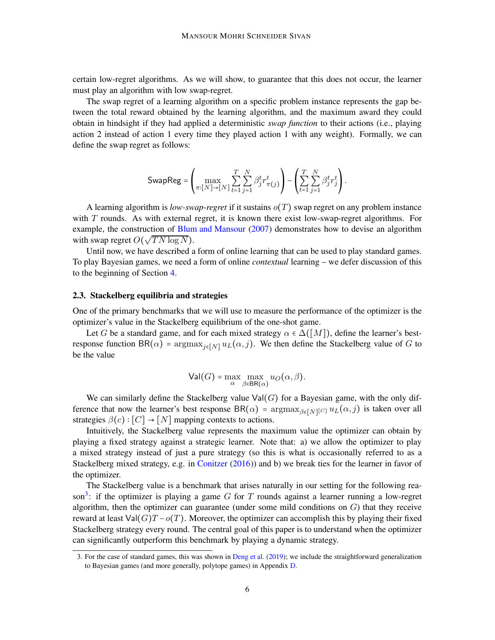certain low-regret algorithms. As we will show, to guarantee that this does not occur, the learner must play an algorithm with low swap-regret.

The swap regret of a learning algorithm on a specific problem instance represents the gap between the total reward obtained by the learning algorithm, and the maximum award they could obtain in hindsight if they had applied a deterministic *swap function* to their actions (i.e., playing action 2 instead of action 1 every time they played action 1 with any weight). Formally, we can define the swap regret as follows:

$$
\mathsf{SwapReg} = \left(\max_{\pi:[N] \to [N]} \sum_{t=1}^{T} \sum_{j=1}^{N} \beta_j^t r_{\pi(j)}^t \right) - \left(\sum_{t=1}^{T} \sum_{j=1}^{N} \beta_j^t r_j^t \right).
$$

A learning algorithm is *low-swap-regret* if it sustains o(T) swap regret on any problem instance with  $T$  rounds. As with external regret, it is known there exist low-swap-regret algorithms. For example, the construction of [Blum and Mansour](#page-12-2) [\(2007\)](#page-12-2) demonstrates how to devise an algorithm with swap regret  $O(\sqrt{T N \log N})$ .

Until now, we have described a form of online learning that can be used to play standard games. To play Bayesian games, we need a form of online *contextual* learning – we defer discussion of this to the beginning of Section [4.](#page-7-0)

# <span id="page-5-1"></span>2.3. Stackelberg equilibria and strategies

One of the primary benchmarks that we will use to measure the performance of the optimizer is the optimizer's value in the Stackelberg equilibrium of the one-shot game.

Let G be a standard game, and for each mixed strategy  $\alpha \in \Delta([M])$ , define the learner's bestresponse function BR( $\alpha$ ) = argmax<sub>j∈[N]</sub>  $u_L(\alpha, j)$ . We then define the Stackelberg value of G to be the value

$$
\mathsf{Val}(G) = \max_{\alpha} \max_{\beta \in \mathsf{BR}(\alpha)} u_O(\alpha, \beta).
$$

We can similarly define the Stackelberg value  $Val(G)$  for a Bayesian game, with the only difference that now the learner's best response  $BR(\alpha)$  =  $\argmax_{\beta \in [N]} [C] u_L(\alpha, j)$  is taken over all strategies  $\beta(c): [C] \rightarrow [N]$  mapping contexts to actions.

Intuitively, the Stackelberg value represents the maximum value the optimizer can obtain by playing a fixed strategy against a strategic learner. Note that: a) we allow the optimizer to play a mixed strategy instead of just a pure strategy (so this is what is occasionally referred to as a Stackelberg mixed strategy, e.g. in [Conitzer](#page-12-4) [\(2016](#page-12-4))) and b) we break ties for the learner in favor of the optimizer.

The Stackelberg value is a benchmark that arises naturally in our setting for the following rea-son<sup>[3](#page-5-0)</sup>: if the optimizer is playing a game G for T rounds against a learner running a low-regret algorithm, then the optimizer can guarantee (under some mild conditions on  $G$ ) that they receive reward at least  $\text{Val}(G)T - o(T)$ . Moreover, the optimizer can accomplish this by playing their fixed Stackelberg strategy every round. The central goal of this paper is to understand when the optimizer can significantly outperform this benchmark by playing a dynamic strategy.

<span id="page-5-0"></span><sup>3.</sup> For the case of standard games, this was shown in [Deng et al.](#page-12-0) [\(2019](#page-12-0)); we include the straightforward generalization to Bayesian games (and more generally, polytope games) in Appendix [D.](#page-21-2)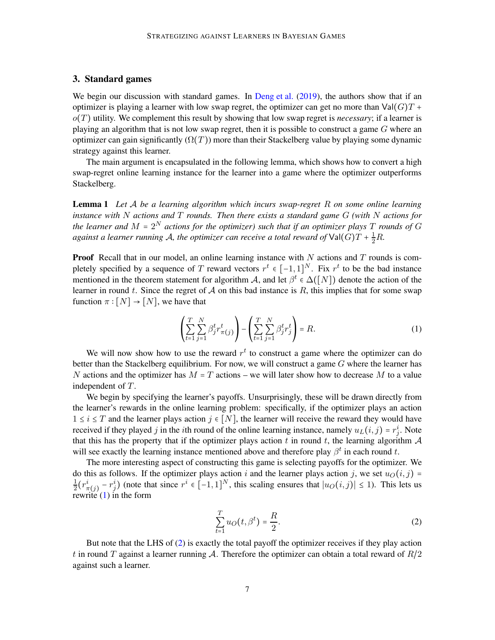# <span id="page-6-0"></span>3. Standard games

We begin our discussion with standard games. In [Deng et al.](#page-12-0) [\(2019](#page-12-0)), the authors show that if an optimizer is playing a learner with low swap regret, the optimizer can get no more than  $Val(G)T +$ o(T) utility. We complement this result by showing that low swap regret is *necessary*; if a learner is playing an algorithm that is not low swap regret, then it is possible to construct a game  $G$  where an optimizer can gain significantly  $(\Omega(T))$  more than their Stackelberg value by playing some dynamic strategy against this learner.

<span id="page-6-3"></span>The main argument is encapsulated in the following lemma, which shows how to convert a high swap-regret online learning instance for the learner into a game where the optimizer outperforms Stackelberg.

Lemma 1 *Let* A *be a learning algorithm which incurs swap-regret* R *on some online learning instance with* N *actions and* T *rounds. Then there exists a standard game* G *(with* N *actions for* the learner and  $M$  =  $2^N$  actions for the optimizer) such that if an optimizer plays  $T$  rounds of  $G$ *against a learner running A, the optimizer can receive a total reward of*  $\text{Val}(G)T + \frac{1}{2}R$ .

**Proof** Recall that in our model, an online learning instance with  $N$  actions and  $T$  rounds is completely specified by a sequence of T reward vectors  $r^t \in [-1,1]^N$ . Fix  $r^t$  to be the bad instance mentioned in the theorem statement for algorithm A, and let  $\beta^t \in \Delta([N])$  denote the action of the learner in round t. Since the regret of A on this bad instance is R, this implies that for some swap function  $\pi : [N] \rightarrow [N]$ , we have that

<span id="page-6-1"></span>
$$
\left(\sum_{t=1}^{T} \sum_{j=1}^{N} \beta_j^t r_{\pi(j)}^t \right) - \left(\sum_{t=1}^{T} \sum_{j=1}^{N} \beta_j^t r_j^t \right) = R. \tag{1}
$$

We will now show how to use the reward  $r<sup>t</sup>$  to construct a game where the optimizer can do better than the Stackelberg equilibrium. For now, we will construct a game  $G$  where the learner has N actions and the optimizer has  $M = T$  actions – we will later show how to decrease M to a value independent of T.

We begin by specifying the learner's payoffs. Unsurprisingly, these will be drawn directly from the learner's rewards in the online learning problem: specifically, if the optimizer plays an action  $1 \le i \le T$  and the learner plays action  $j \in [N]$ , the learner will receive the reward they would have received if they played j in the *i*th round of the online learning instance, namely  $u_L(i, j) = r_j^i$ . Note that this has the property that if the optimizer plays action t in round t, the learning algorithm  $\mathcal A$ will see exactly the learning instance mentioned above and therefore play  $\beta^t$  in each round t.

The more interesting aspect of constructing this game is selecting payoffs for the optimizer. We do this as follows. If the optimizer plays action i and the learner plays action j, we set  $u<sub>O</sub>(i, j)$  = 1  $\frac{1}{2}(r_\pi^i$  $(\frac{i}{\pi(j)} - r_j^i)$  (note that since  $r^i \in [-1, 1]^N$ , this scaling ensures that  $|u_O(i,j)| \le 1$ ). This lets us rewrite  $(1)$  in the form

<span id="page-6-2"></span>
$$
\sum_{t=1}^{T} u_O(t, \beta^t) = \frac{R}{2}.\tag{2}
$$

But note that the LHS of [\(2\)](#page-6-2) is exactly the total payoff the optimizer receives if they play action t in round T against a learner running A. Therefore the optimizer can obtain a total reward of  $R/2$ against such a learner.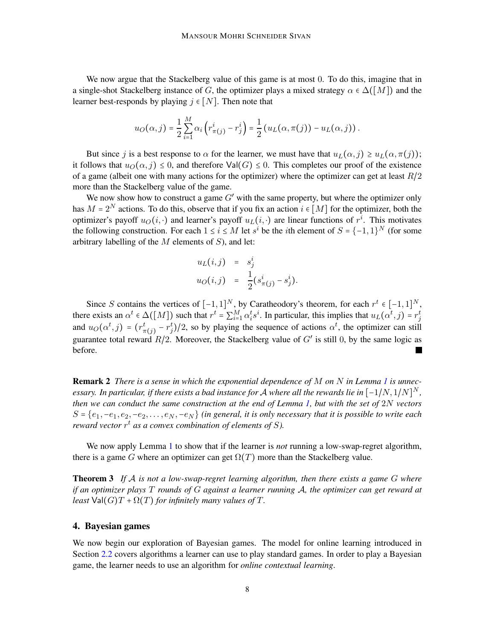We now argue that the Stackelberg value of this game is at most 0. To do this, imagine that in a single-shot Stackelberg instance of G, the optimizer plays a mixed strategy  $\alpha \in \Delta([M])$  and the learner best-responds by playing  $j \in [N]$ . Then note that

$$
u_O(\alpha,j) = \frac{1}{2}\sum_{i=1}^M \alpha_i \left( r_{\pi(j)}^i - r_j^i \right) = \frac{1}{2} \left( u_L(\alpha, \pi(j)) - u_L(\alpha, j) \right).
$$

But since j is a best response to  $\alpha$  for the learner, we must have that  $u_L(\alpha, j) \geq u_L(\alpha, \pi(j));$ it follows that  $u_O(\alpha, j) \leq 0$ , and therefore  $\text{Val}(G) \leq 0$ . This completes our proof of the existence of a game (albeit one with many actions for the optimizer) where the optimizer can get at least  $R/2$ more than the Stackelberg value of the game.

We now show how to construct a game  $G'$  with the same property, but where the optimizer only has  $M = 2^N$  actions. To do this, observe that if you fix an action  $i \in [M]$  for the optimizer, both the optimizer's payoff  $u_O(i, \cdot)$  and learner's payoff  $u_I(i, \cdot)$  are linear functions of  $r^i$ . This motivates the following construction. For each  $1 \le i \le M$  let  $s^i$  be the *i*th element of  $S = \{-1, 1\}^N$  (for some arbitrary labelling of the  $M$  elements of  $S$ ), and let:

$$
u_L(i,j) = s_j^i
$$
  

$$
u_O(i,j) = \frac{1}{2}(s_{\pi(j)}^i - s_j^i).
$$

Since S contains the vertices of  $[-1,1]^N$ , by Caratheodory's theorem, for each  $r^t \in [-1,1]^N$ , there exists an  $\alpha^t \in \Delta([M])$  such that  $r^t = \sum_{i=1}^M \alpha_i^t s^i$ . In particular, this implies that  $u_L(\alpha^t, j) = r_j^t$ and  $u_O(\alpha^t, j) = (r^t_{\pi(j)} - r^t_j)/2$ , so by playing the sequence of actions  $\alpha^t$ , the optimizer can still guarantee total reward  $R/2$ . Moreover, the Stackelberg value of G' is still 0, by the same logic as before.

Remark 2 *There is a sense in which the exponential dependence of* M *on* N *in Lemma [1](#page-6-3) is unnec* $e$ ssary. In particular, if there exists a bad instance for  ${\cal A}$  where all the rewards lie in  $[-1/N,1/N]^N$  , *then we can conduct the same construction at the end of Lemma [1,](#page-6-3) but with the set of* 2N *vectors*  $S = \{e_1, -e_1, e_2, -e_2, \ldots, e_N, -e_N\}$  *(in general, it is only necessary that it is possible to write each reward vector* r t *as a convex combination of elements of* S*).*

<span id="page-7-1"></span>We now apply Lemma [1](#page-6-3) to show that if the learner is *not* running a low-swap-regret algorithm, there is a game G where an optimizer can get  $\Omega(T)$  more than the Stackelberg value.

Theorem 3 *If* A *is not a low-swap-regret learning algorithm, then there exists a game* G *where if an optimizer plays* T *rounds of* G *against a learner running* A*, the optimizer can get reward at least*  $Val(G)T + \Omega(T)$  *for infinitely many values of* T.

## <span id="page-7-0"></span>4. Bayesian games

We now begin our exploration of Bayesian games. The model for online learning introduced in Section [2.2](#page-4-1) covers algorithms a learner can use to play standard games. In order to play a Bayesian game, the learner needs to use an algorithm for *online contextual learning*.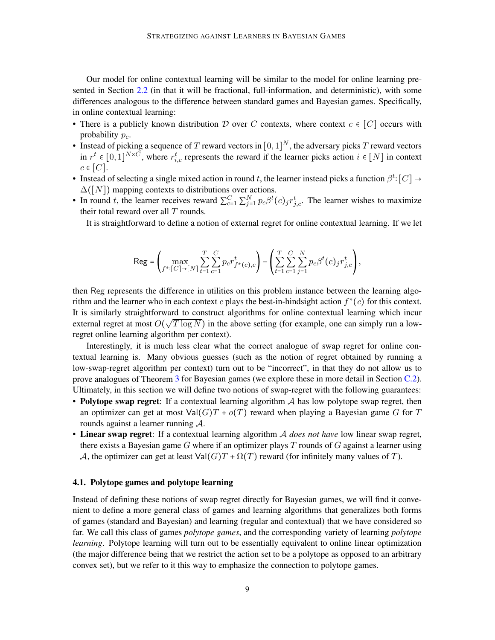Our model for online contextual learning will be similar to the model for online learning presented in Section [2.2](#page-4-1) (in that it will be fractional, full-information, and deterministic), with some differences analogous to the difference between standard games and Bayesian games. Specifically, in online contextual learning:

- There is a publicly known distribution D over C contexts, where context  $c \in [C]$  occurs with probability  $p_c$ .
- Instead of picking a sequence of T reward vectors in  $[0,1]^N$ , the adversary picks T reward vectors in  $r^t \in [0,1]^{N \times C}$ , where  $r_{i,c}^t$  represents the reward if the learner picks action  $i \in [N]$  in context  $c \in [C]$ .
- Instead of selecting a single mixed action in round t, the learner instead picks a function  $\beta^t$ : [C]  $\rightarrow$  $\Delta([N])$  mapping contexts to distributions over actions.
- In round t, the learner receives reward  $\sum_{c=1}^{C} \sum_{j=1}^{N} p_c \beta^t(c)_{j} r_{j,c}^t$ . The learner wishes to maximize their total reward over all  $T$  rounds.

It is straightforward to define a notion of external regret for online contextual learning. If we let

$$
\text{Reg} = \left( \max_{f^* : [C] \to [N]} \sum_{t=1}^T \sum_{c=1}^C p_c r_{f^*(c),c}^t \right) - \left( \sum_{t=1}^T \sum_{c=1}^C \sum_{j=1}^N p_c \beta^t(c)_j r_{j,c}^t \right),
$$

then Reg represents the difference in utilities on this problem instance between the learning algorithm and the learner who in each context c plays the best-in-hindsight action  $f^*(c)$  for this context. It is similarly straightforward to construct algorithms for online contextual learning which incur external regret at most  $O(\sqrt{T \log N})$  in the above setting (for example, one can simply run a lowregret online learning algorithm per context).

Interestingly, it is much less clear what the correct analogue of swap regret for online contextual learning is. Many obvious guesses (such as the notion of regret obtained by running a low-swap-regret algorithm per context) turn out to be "incorrect", in that they do not allow us to prove analogues of Theorem [3](#page-7-1) for Bayesian games (we explore these in more detail in Section [C.2\)](#page-16-1). Ultimately, in this section we will define two notions of swap-regret with the following guarantees:

- Polytope swap regret: If a contextual learning algorithm  $A$  has low polytope swap regret, then an optimizer can get at most  $Val(G)T + o(T)$  reward when playing a Bayesian game G for T rounds against a learner running A.
- Linear swap regret: If a contextual learning algorithm A *does not have* low linear swap regret, there exists a Bayesian game G where if an optimizer plays  $T$  rounds of G against a learner using A, the optimizer can get at least  $Val(G)T + \Omega(T)$  reward (for infinitely many values of T).

## 4.1. Polytope games and polytope learning

Instead of defining these notions of swap regret directly for Bayesian games, we will find it convenient to define a more general class of games and learning algorithms that generalizes both forms of games (standard and Bayesian) and learning (regular and contextual) that we have considered so far. We call this class of games *polytope games*, and the corresponding variety of learning *polytope learning*. Polytope learning will turn out to be essentially equivalent to online linear optimization (the major difference being that we restrict the action set to be a polytope as opposed to an arbitrary convex set), but we refer to it this way to emphasize the connection to polytope games.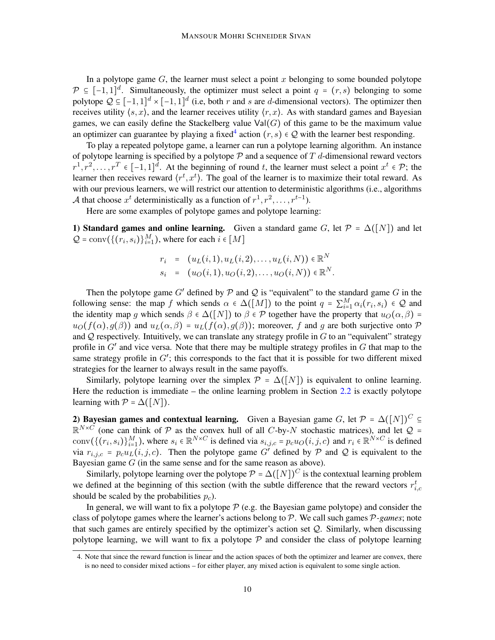In a polytope game  $G$ , the learner must select a point  $x$  belonging to some bounded polytope  $\mathcal{P} \subseteq [-1,1]^d$ . Simultaneously, the optimizer must select a point  $q = (r, s)$  belonging to some polytope  $Q \subseteq [-1,1]^d \times [-1,1]^d$  (i.e, both r and s are d-dimensional vectors). The optimizer then receives utility  $\langle s, x \rangle$ , and the learner receives utility  $\langle r, x \rangle$ . As with standard games and Bayesian games, we can easily define the Stackelberg value  $Val(G)$  of this game to be the maximum value an optimizer can guarantee by playing a fixed<sup>[4](#page-9-0)</sup> action  $(r, s) \in \mathcal{Q}$  with the learner best responding.

To play a repeated polytope game, a learner can run a polytope learning algorithm. An instance of polytope learning is specified by a polytope  $\mathcal P$  and a sequence of  $T$  d-dimensional reward vectors  $r^1, r^2, \ldots, r^T \in [-1, 1]^d$ . At the beginning of round t, the learner must select a point  $x^t \in \mathcal{P}$ ; the learner then receives reward  $\langle r^t, x^t \rangle$ . The goal of the learner is to maximize their total reward. As with our previous learners, we will restrict our attention to deterministic algorithms (i.e., algorithms A that choose  $x^t$  deterministically as a function of  $r^1, r^2, \ldots, r^{t-1}$ ).

Here are some examples of polytope games and polytope learning:

1) Standard games and online learning. Given a standard game G, let  $\mathcal{P} = \Delta([N])$  and let  $Q = \text{conv}(\{(r_i, s_i)\}_{i=1}^M)$ , where for each  $i \in [M]$ 

$$
r_i = (u_L(i,1), u_L(i,2), \dots, u_L(i,N)) \in \mathbb{R}^N
$$
  
\n
$$
s_i = (u_O(i,1), u_O(i,2), \dots, u_O(i,N)) \in \mathbb{R}^N.
$$

Then the polytope game G' defined by  $P$  and  $Q$  is "equivalent" to the standard game G in the following sense: the map f which sends  $\alpha \in \Delta([M])$  to the point  $q = \sum_{i=1}^{M} \alpha_i(r_i, s_i) \in \mathcal{Q}$  and the identity map g which sends  $\beta \in \Delta([N])$  to  $\beta \in \mathcal{P}$  together have the property that  $u_O(\alpha, \beta)$  =  $u_O(f(\alpha), g(\beta))$  and  $u_L(\alpha, \beta) = u_L(f(\alpha), g(\beta))$ ; moreover, f and g are both surjective onto P and  $Q$  respectively. Intuitively, we can translate any strategy profile in  $G$  to an "equivalent" strategy profile in  $G'$  and vice versa. Note that there may be multiple strategy profiles in  $G$  that map to the same strategy profile in  $G'$ ; this corresponds to the fact that it is possible for two different mixed strategies for the learner to always result in the same payoffs.

Similarly, polytope learning over the simplex  $\mathcal{P} = \Delta([N])$  is equivalent to online learning. Here the reduction is immediate – the online learning problem in Section  $2.2$  is exactly polytope learning with  $P = \Delta([N])$ .

2) Bayesian games and contextual learning. Given a Bayesian game G, let  $\mathcal{P} = \Delta([N])^C \subseteq$  $\mathbb{R}^{N\times C}$  (one can think of P as the convex hull of all C-by-N stochastic matrices), and let Q = conv $(\{(r_i, s_i)\}_{i=1}^M)$ , where  $s_i \in \mathbb{R}^{N \times C}$  is defined via  $s_{i,j,c} = p_c u_O(i,j,c)$  and  $r_i \in \mathbb{R}^{N \times C}$  is defined via  $r_{i,j,c} = p_c u_L(i,j,c)$ . Then the polytope game  $G^{\prime}$  defined by  $P$  and  $Q$  is equivalent to the Bayesian game  $G$  (in the same sense and for the same reason as above).

Similarly, polytope learning over the polytope  $P = \Delta([N])^C$  is the contextual learning problem we defined at the beginning of this section (with the subtle difference that the reward vectors  $r_{i,c}^t$ should be scaled by the probabilities  $p_c$ ).

In general, we will want to fix a polytope  $P$  (e.g. the Bayesian game polytope) and consider the class of polytope games where the learner's actions belong to  $P$ . We call such games  $P$ -games; note that such games are entirely specified by the optimizer's action set Q. Similarly, when discussing polytope learning, we will want to fix a polytope  $P$  and consider the class of polytope learning

<span id="page-9-0"></span><sup>4.</sup> Note that since the reward function is linear and the action spaces of both the optimizer and learner are convex, there is no need to consider mixed actions – for either player, any mixed action is equivalent to some single action.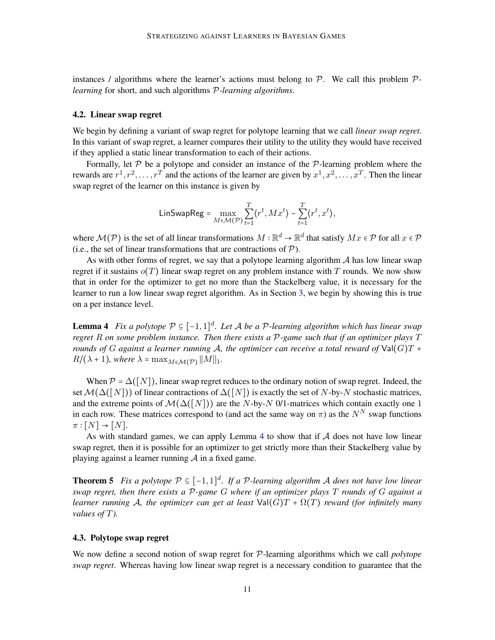instances / algorithms where the learner's actions must belong to P. We call this problem P*learning* for short, and such algorithms P*-learning algorithms*.

## <span id="page-10-2"></span>4.2. Linear swap regret

We begin by defining a variant of swap regret for polytope learning that we call *linear swap regret*. In this variant of swap regret, a learner compares their utility to the utility they would have received if they applied a static linear transformation to each of their actions.

Formally, let  $P$  be a polytope and consider an instance of the  $P$ -learning problem where the rewards are  $r^1, r^2, \ldots, r^T$  and the actions of the learner are given by  $x^1, x^2, \ldots, x^T$ . Then the linear swap regret of the learner on this instance is given by

$$
\mathsf{LinSwapReg} = \max_{M \in \mathcal{M}(\mathcal{P})} \sum_{t=1}^T \langle r^t, Mx^t \rangle - \sum_{t=1}^T \langle r^t, x^t \rangle,
$$

where  $\mathcal{M}(\mathcal{P})$  is the set of all linear transformations  $M:\mathbb{R}^d\to\mathbb{R}^d$  that satisfy  $Mx\in\mathcal{P}$  for all  $x\in\mathcal{P}$ (i.e., the set of linear transformations that are contractions of  $P$ ).

As with other forms of regret, we say that a polytope learning algorithm  $A$  has low linear swap regret if it sustains  $o(T)$  linear swap regret on any problem instance with T rounds. We now show that in order for the optimizer to get no more than the Stackelberg value, it is necessary for the learner to run a low linear swap regret algorithm. As in Section [3,](#page-6-0) we begin by showing this is true on a per instance level.

<span id="page-10-1"></span>Lemma 4 *Fix a polytope* P ⊆ [−1, 1] d *. Let* A *be a* P*-learning algorithm which has linear swap regret* R *on some problem instance. Then there exists a* P*-game such that if an optimizer plays* T *rounds of* G *against a learner running* A*, the optimizer can receive a total reward of* Val(G)T +  $R/(\lambda+1)$ *, where*  $\lambda = \max_{M \in \mathcal{M}(\mathcal{P})} ||M||_1$ *.* 

When  $\mathcal{P} = \Delta([N])$ , linear swap regret reduces to the ordinary notion of swap regret. Indeed, the set  $\mathcal{M}(\Delta([N]))$  of linear contractions of  $\Delta([N])$  is exactly the set of N-by-N stochastic matrices, and the extreme points of  $\mathcal{M}(\Delta([N]))$  are the N-by-N 0/1-matrices which contain exactly one 1 in each row. These matrices correspond to (and act the same way on  $\pi$ ) as the  $N^N$  swap functions  $\pi : [N] \rightarrow [N].$ 

As with standard games, we can apply Lemma [4](#page-10-1) to show that if  $A$  does not have low linear swap regret, then it is possible for an optimizer to get strictly more than their Stackelberg value by playing against a learner running  $A$  in a fixed game.

<span id="page-10-3"></span>**Theorem 5** Fix a polytope  $P \subseteq [-1,1]^d$ . If a P-learning algorithm A does not have low linear *swap regret, then there exists a* P*-game* G *where if an optimizer plays* T *rounds of* G *against a learner running* A, the optimizer can get at least  $Val(G)T + \Omega(T)$  reward (for infinitely many *values of* T*).*

# <span id="page-10-0"></span>4.3. Polytope swap regret

We now define a second notion of swap regret for P-learning algorithms which we call *polytope swap regret*. Whereas having low linear swap regret is a necessary condition to guarantee that the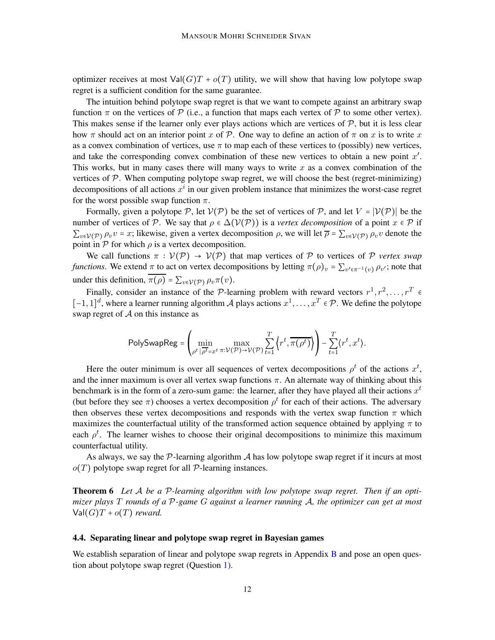optimizer receives at most  $Val(G)T + o(T)$  utility, we will show that having low polytope swap regret is a sufficient condition for the same guarantee.

The intuition behind polytope swap regret is that we want to compete against an arbitrary swap function  $\pi$  on the vertices of  $\mathcal P$  (i.e., a function that maps each vertex of  $\mathcal P$  to some other vertex). This makes sense if the learner only ever plays actions which are vertices of  $P$ , but it is less clear how  $\pi$  should act on an interior point x of P. One way to define an action of  $\pi$  on x is to write x as a convex combination of vertices, use  $\pi$  to map each of these vertices to (possibly) new vertices, and take the corresponding convex combination of these new vertices to obtain a new point  $x'$ . This works, but in many cases there will many ways to write  $x$  as a convex combination of the vertices of  $P$ . When computing polytope swap regret, we will choose the best (regret-minimizing) decompositions of all actions  $x^i$  in our given problem instance that minimizes the worst-case regret for the worst possible swap function  $\pi$ .

Formally, given a polytope P, let  $V(\mathcal{P})$  be the set of vertices of P, and let  $V = |V(\mathcal{P})|$  be the number of vertices of P. We say that  $\rho \in \Delta(\mathcal{V}(\mathcal{P}))$  is a *vertex decomposition* of a point  $x \in \mathcal{P}$  if  $\sum_{v \in V(\mathcal{P})} \rho_v v = x$ ; likewise, given a vertex decomposition  $\rho$ , we will let  $\overline{\rho} = \sum_{v \in V(\mathcal{P})} \rho_v v$  denote the point in  $P$  for which  $\rho$  is a vertex decomposition.

We call functions  $\pi : \mathcal{V}(\mathcal{P}) \to \mathcal{V}(\mathcal{P})$  that map vertices of  $\mathcal P$  to vertices of  $\mathcal P$  *vertex swap functions*. We extend  $\pi$  to act on vertex decompositions by letting  $\pi(\rho)_v = \sum_{v' \in \pi^{-1}(v)} \rho_{v'}$ ; note that under this definition,  $\overline{\pi(\rho)} = \sum_{v \in \mathcal{V}(\mathcal{P})} \rho_v \pi(v)$ .

Finally, consider an instance of the P-learning problem with reward vectors  $r^1, r^2, \ldots, r^T \in$ [-1, 1]<sup>d</sup>, where a learner running algorithm A plays actions  $x^1, \ldots, x^T \in \mathcal{P}$ . We define the polytope swap regret of  $A$  on this instance as

$$
\text{PolySwapReg} = \left(\min_{\rho^t \mid \rho^t = x^t} \max_{\pi: \mathcal{V}(\mathcal{P}) \to \mathcal{V}(\mathcal{P})} \sum_{t=1}^T \left\langle r^t, \overline{\pi(\rho^t)} \right\rangle \right) - \sum_{t=1}^T \left\langle r^t, x^t \right\rangle.
$$

Here the outer minimum is over all sequences of vertex decompositions  $\rho^t$  of the actions  $x^t$ , and the inner maximum is over all vertex swap functions  $\pi$ . An alternate way of thinking about this benchmark is in the form of a zero-sum game: the learner, after they have played all their actions  $x^t$ (but before they see  $\pi$ ) chooses a vertex decomposition  $\rho^t$  for each of their actions. The adversary then observes these vertex decompositions and responds with the vertex swap function  $\pi$  which maximizes the counterfactual utility of the transformed action sequence obtained by applying  $\pi$  to each  $\rho^t$ . The learner wishes to choose their original decompositions to minimize this maximum counterfactual utility.

<span id="page-11-0"></span>As always, we say the  $\mathcal{P}$ -learning algorithm  $\mathcal{A}$  has low polytope swap regret if it incurs at most  $o(T)$  polytope swap regret for all P-learning instances.

Theorem 6 *Let* A *be a* P*-learning algorithm with low polytope swap regret. Then if an optimizer plays* T *rounds of a* P*-game* G *against a learner running* A*, the optimizer can get at most*  $Val(G)T + o(T)$  *reward.* 

## 4.4. Separating linear and polytope swap regret in Bayesian games

We establish separation of linear and polytope swap regrets in Appendix  $\bf{B}$  $\bf{B}$  $\bf{B}$  and pose an open question about polytope swap regret (Question [1\)](#page-15-3).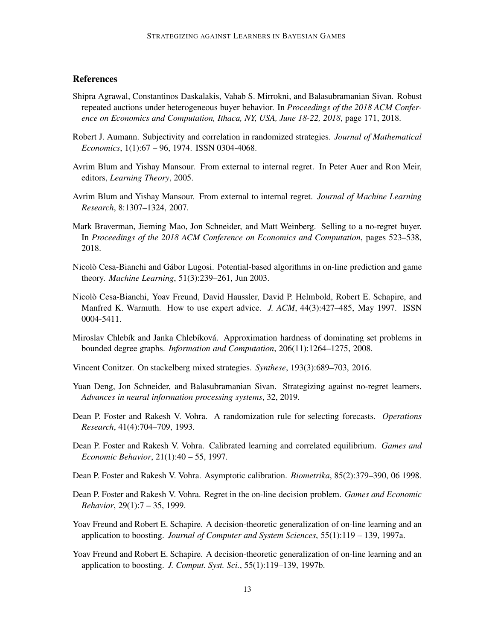# **References**

- <span id="page-12-14"></span>Shipra Agrawal, Constantinos Daskalakis, Vahab S. Mirrokni, and Balasubramanian Sivan. Robust repeated auctions under heterogeneous buyer behavior. In *Proceedings of the 2018 ACM Conference on Economics and Computation, Ithaca, NY, USA, June 18-22, 2018*, page 171, 2018.
- <span id="page-12-13"></span>Robert J. Aumann. Subjectivity and correlation in randomized strategies. *Journal of Mathematical Economics*, 1(1):67 – 96, 1974. ISSN 0304-4068.
- <span id="page-12-12"></span>Avrim Blum and Yishay Mansour. From external to internal regret. In Peter Auer and Ron Meir, editors, *Learning Theory*, 2005.
- <span id="page-12-2"></span>Avrim Blum and Yishay Mansour. From external to internal regret. *Journal of Machine Learning Research*, 8:1307–1324, 2007.
- <span id="page-12-1"></span>Mark Braverman, Jieming Mao, Jon Schneider, and Matt Weinberg. Selling to a no-regret buyer. In *Proceedings of the 2018 ACM Conference on Economics and Computation*, pages 523–538, 2018.
- <span id="page-12-11"></span>Nicolò Cesa-Bianchi and Gábor Lugosi. Potential-based algorithms in on-line prediction and game theory. *Machine Learning*, 51(3):239–261, Jun 2003.
- <span id="page-12-7"></span>Nicolò Cesa-Bianchi, Yoav Freund, David Haussler, David P. Helmbold, Robert E. Schapire, and Manfred K. Warmuth. How to use expert advice. *J. ACM*, 44(3):427–485, May 1997. ISSN 0004-5411.
- <span id="page-12-15"></span>Miroslav Chlebík and Janka Chlebíková. Approximation hardness of dominating set problems in bounded degree graphs. *Information and Computation*, 206(11):1264–1275, 2008.
- <span id="page-12-4"></span>Vincent Conitzer. On stackelberg mixed strategies. *Synthese*, 193(3):689–703, 2016.
- <span id="page-12-0"></span>Yuan Deng, Jon Schneider, and Balasubramanian Sivan. Strategizing against no-regret learners. *Advances in neural information processing systems*, 32, 2019.
- <span id="page-12-5"></span>Dean P. Foster and Rakesh V. Vohra. A randomization rule for selecting forecasts. *Operations Research*, 41(4):704–709, 1993.
- <span id="page-12-9"></span>Dean P. Foster and Rakesh V. Vohra. Calibrated learning and correlated equilibrium. *Games and Economic Behavior*, 21(1):40 – 55, 1997.
- <span id="page-12-8"></span>Dean P. Foster and Rakesh V. Vohra. Asymptotic calibration. *Biometrika*, 85(2):379–390, 06 1998.
- <span id="page-12-10"></span>Dean P. Foster and Rakesh V. Vohra. Regret in the on-line decision problem. *Games and Economic Behavior*, 29(1):7 – 35, 1999.
- <span id="page-12-6"></span>Yoav Freund and Robert E. Schapire. A decision-theoretic generalization of on-line learning and an application to boosting. *Journal of Computer and System Sciences*, 55(1):119 – 139, 1997a.
- <span id="page-12-3"></span>Yoav Freund and Robert E. Schapire. A decision-theoretic generalization of on-line learning and an application to boosting. *J. Comput. Syst. Sci.*, 55(1):119–139, 1997b.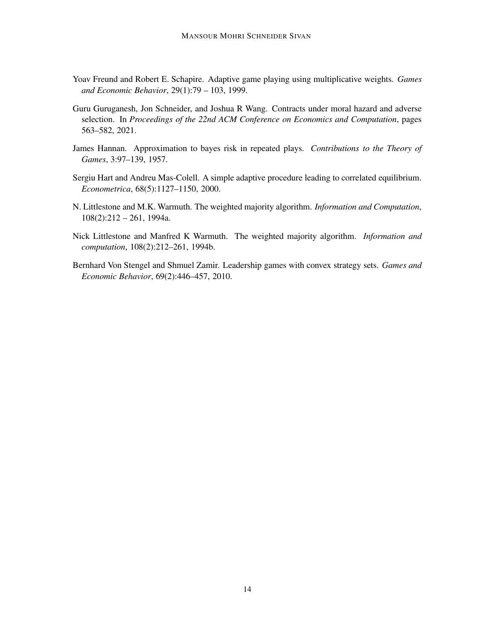- <span id="page-13-3"></span>Yoav Freund and Robert E. Schapire. Adaptive game playing using multiplicative weights. *Games and Economic Behavior*, 29(1):79 – 103, 1999.
- <span id="page-13-6"></span>Guru Guruganesh, Jon Schneider, and Joshua R Wang. Contracts under moral hazard and adverse selection. In *Proceedings of the 22nd ACM Conference on Economics and Computation*, pages 563–582, 2021.
- <span id="page-13-1"></span>James Hannan. Approximation to bayes risk in repeated plays. *Contributions to the Theory of Games*, 3:97–139, 1957.
- <span id="page-13-4"></span>Sergiu Hart and Andreu Mas-Colell. A simple adaptive procedure leading to correlated equilibrium. *Econometrica*, 68(5):1127–1150, 2000.
- <span id="page-13-2"></span>N. Littlestone and M.K. Warmuth. The weighted majority algorithm. *Information and Computation*, 108(2):212 – 261, 1994a.
- <span id="page-13-0"></span>Nick Littlestone and Manfred K Warmuth. The weighted majority algorithm. *Information and computation*, 108(2):212–261, 1994b.
- <span id="page-13-5"></span>Bernhard Von Stengel and Shmuel Zamir. Leadership games with convex strategy sets. *Games and Economic Behavior*, 69(2):446–457, 2010.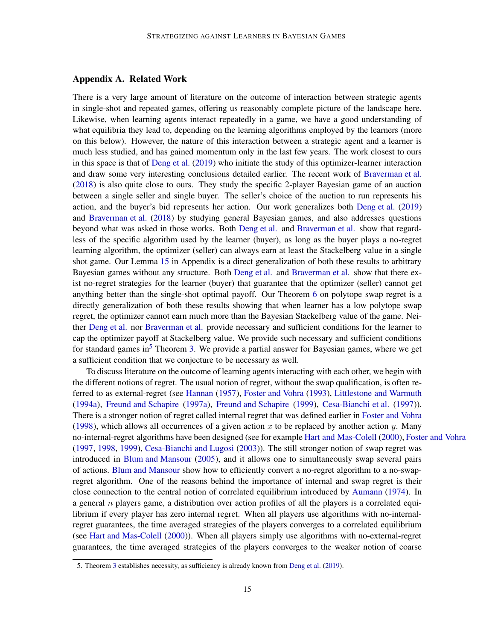# <span id="page-14-0"></span>Appendix A. Related Work

There is a very large amount of literature on the outcome of interaction between strategic agents in single-shot and repeated games, offering us reasonably complete picture of the landscape here. Likewise, when learning agents interact repeatedly in a game, we have a good understanding of what equilibria they lead to, depending on the learning algorithms employed by the learners (more on this below). However, the nature of this interaction between a strategic agent and a learner is much less studied, and has gained momentum only in the last few years. The work closest to ours in this space is that of [Deng et al.](#page-12-0) [\(2019](#page-12-0)) who initiate the study of this optimizer-learner interaction and draw some very interesting conclusions detailed earlier. The recent work of [Braverman et al.](#page-12-1) [\(2018](#page-12-1)) is also quite close to ours. They study the specific 2-player Bayesian game of an auction between a single seller and single buyer. The seller's choice of the auction to run represents his action, and the buyer's bid represents her action. Our work generalizes both [Deng et al.](#page-12-0) [\(2019](#page-12-0)) and [Braverman et al.](#page-12-1) [\(2018\)](#page-12-1) by studying general Bayesian games, and also addresses questions beyond what was asked in those works. Both [Deng et al.](#page-12-0) and [Braverman et al.](#page-12-1) show that regardless of the specific algorithm used by the learner (buyer), as long as the buyer plays a no-regret learning algorithm, the optimizer (seller) can always earn at least the Stackelberg value in a single shot game. Our Lemma [15](#page-21-0) in Appendix is a direct generalization of both these results to arbitrary Bayesian games without any structure. Both [Deng et al.](#page-12-0) and [Braverman et al.](#page-12-1) show that there exist no-regret strategies for the learner (buyer) that guarantee that the optimizer (seller) cannot get anything better than the single-shot optimal payoff. Our Theorem [6](#page-11-0) on polytope swap regret is a directly generalization of both these results showing that when learner has a low polytope swap regret, the optimizer cannot earn much more than the Bayesian Stackelberg value of the game. Neither [Deng et al.](#page-12-0) nor [Braverman et al.](#page-12-1) provide necessary and sufficient conditions for the learner to cap the optimizer payoff at Stackelberg value. We provide such necessary and sufficient conditions for standard games in<sup>[5](#page-14-1)</sup> Theorem [3.](#page-7-1) We provide a partial answer for Bayesian games, where we get a sufficient condition that we conjecture to be necessary as well.

To discuss literature on the outcome of learning agents interacting with each other, we begin with the different notions of regret. The usual notion of regret, without the swap qualification, is often referred to as external-regret (see [Hannan](#page-13-1) [\(1957](#page-13-1)), [Foster and Vohra](#page-12-5) [\(1993](#page-12-5)), [Littlestone and Warmuth](#page-13-2) [\(1994a](#page-13-2)), [Freund and Schapire](#page-12-6) [\(1997a](#page-12-6)), [Freund and Schapire](#page-13-3) [\(1999](#page-13-3)), [Cesa-Bianchi et al.](#page-12-7) [\(1997](#page-12-7))). There is a stronger notion of regret called internal regret that was defined earlier in [Foster and Vohra](#page-12-8) [\(1998](#page-12-8)), which allows all occurrences of a given action x to be replaced by another action y. Many no-internal-regret algorithms have been designed (see for example [Hart and Mas-Colell](#page-13-4) [\(2000\)](#page-13-4), [Foster and Vohra](#page-12-9) [\(1997](#page-12-9), [1998,](#page-12-8) [1999](#page-12-10)), [Cesa-Bianchi and Lugosi](#page-12-11) [\(2003](#page-12-11))). The still stronger notion of swap regret was introduced in [Blum and Mansour](#page-12-12) [\(2005](#page-12-12)), and it allows one to simultaneously swap several pairs of actions. [Blum and Mansour](#page-12-12) show how to efficiently convert a no-regret algorithm to a no-swapregret algorithm. One of the reasons behind the importance of internal and swap regret is their close connection to the central notion of correlated equilibrium introduced by [Aumann](#page-12-13) [\(1974\)](#page-12-13). In a general  $n$  players game, a distribution over action profiles of all the players is a correlated equilibrium if every player has zero internal regret. When all players use algorithms with no-internalregret guarantees, the time averaged strategies of the players converges to a correlated equilibrium (see [Hart and Mas-Colell](#page-13-4) [\(2000\)](#page-13-4)). When all players simply use algorithms with no-external-regret guarantees, the time averaged strategies of the players converges to the weaker notion of coarse

<span id="page-14-1"></span><sup>5.</sup> Theorem [3](#page-7-1) establishes necessity, as sufficiency is already known from [Deng et al.](#page-12-0) [\(2019](#page-12-0)).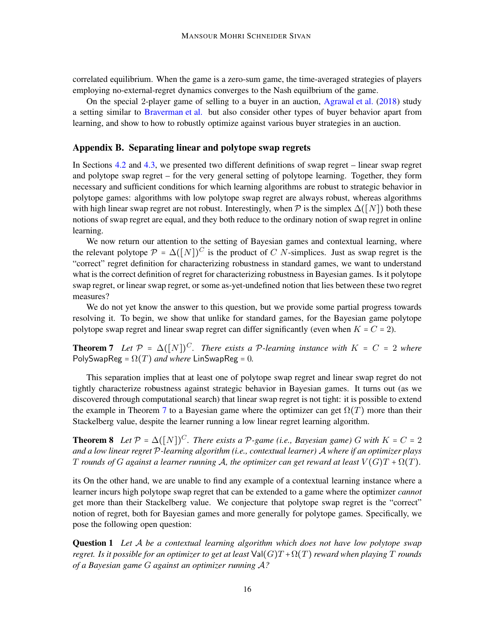correlated equilibrium. When the game is a zero-sum game, the time-averaged strategies of players employing no-external-regret dynamics converges to the Nash equilbrium of the game.

On the special 2-player game of selling to a buyer in an auction, [Agrawal et al.](#page-12-14) [\(2018](#page-12-14)) study a setting similar to [Braverman et al.](#page-12-1) but also consider other types of buyer behavior apart from learning, and show to how to robustly optimize against various buyer strategies in an auction.

# <span id="page-15-2"></span>Appendix B. Separating linear and polytope swap regrets

In Sections [4.2](#page-10-2) and [4.3,](#page-10-0) we presented two different definitions of swap regret – linear swap regret and polytope swap regret – for the very general setting of polytope learning. Together, they form necessary and sufficient conditions for which learning algorithms are robust to strategic behavior in polytope games: algorithms with low polytope swap regret are always robust, whereas algorithms with high linear swap regret are not robust. Interestingly, when  $\mathcal P$  is the simplex  $\Delta([N])$  both these notions of swap regret are equal, and they both reduce to the ordinary notion of swap regret in online learning.

We now return our attention to the setting of Bayesian games and contextual learning, where the relevant polytope  $\mathcal{P} = \Delta([N])^C$  is the product of C N-simplices. Just as swap regret is the "correct" regret definition for characterizing robustness in standard games, we want to understand what is the correct definition of regret for characterizing robustness in Bayesian games. Is it polytope swap regret, or linear swap regret, or some as-yet-undefined notion that lies between these two regret measures?

We do not yet know the answer to this question, but we provide some partial progress towards resolving it. To begin, we show that unlike for standard games, for the Bayesian game polytope polytope swap regret and linear swap regret can differ significantly (even when  $K = C = 2$ ).

<span id="page-15-0"></span>**Theorem 7** Let  $\mathcal{P} = \Delta([N])^C$ . There exists a P-learning instance with  $K = C = 2$  where PolySwapReg =  $\Omega(T)$  *and where* LinSwapReg = 0.

This separation implies that at least one of polytope swap regret and linear swap regret do not tightly characterize robustness against strategic behavior in Bayesian games. It turns out (as we discovered through computational search) that linear swap regret is not tight: it is possible to extend the example in Theorem [7](#page-15-0) to a Bayesian game where the optimizer can get  $\Omega(T)$  more than their Stackelberg value, despite the learner running a low linear regret learning algorithm.

<span id="page-15-1"></span>**Theorem 8** Let  $P = \Delta([N])^C$ . There exists a P-game (i.e., Bayesian game) G with  $K = C = 2$ *and a low linear regret* P*-learning algorithm (i.e., contextual learner)* A *where if an optimizer plays* T rounds of G against a learner running A, the optimizer can get reward at least  $V(G)T + \Omega(T)$ .

its On the other hand, we are unable to find any example of a contextual learning instance where a learner incurs high polytope swap regret that can be extended to a game where the optimizer *cannot* get more than their Stackelberg value. We conjecture that polytope swap regret is the "correct" notion of regret, both for Bayesian games and more generally for polytope games. Specifically, we pose the following open question:

<span id="page-15-3"></span>Question 1 *Let* A *be a contextual learning algorithm which does not have low polytope swap regret. Is it possible for an optimizer to get at least*  $Val(G)T + \Omega(T)$  *reward when playing* T *rounds of a Bayesian game* G *against an optimizer running* A*?*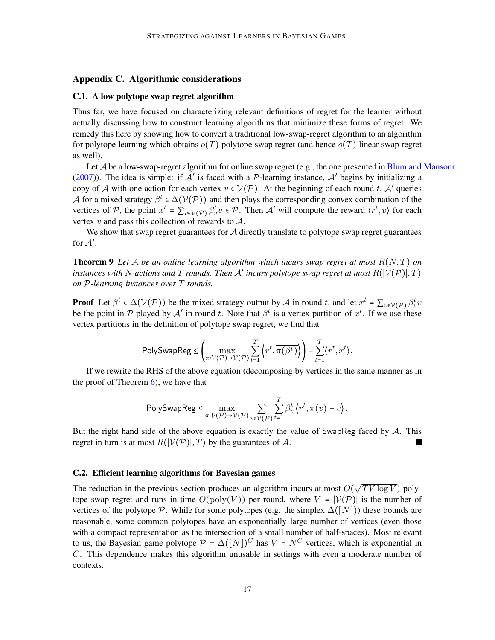## <span id="page-16-2"></span><span id="page-16-0"></span>Appendix C. Algorithmic considerations

### C.1. A low polytope swap regret algorithm

Thus far, we have focused on characterizing relevant definitions of regret for the learner without actually discussing how to construct learning algorithms that minimize these forms of regret. We remedy this here by showing how to convert a traditional low-swap-regret algorithm to an algorithm for polytope learning which obtains  $o(T)$  polytope swap regret (and hence  $o(T)$  linear swap regret as well).

Let A be a low-swap-regret algorithm for online swap regret (e.g., the one presented in [Blum and Mansour](#page-12-2) [\(2007](#page-12-2))). The idea is simple: if  $A'$  is faced with a P-learning instance,  $A'$  begins by initializing a copy of A with one action for each vertex  $v \in V(\mathcal{P})$ . At the beginning of each round t, A' queries A for a mixed strategy  $\beta^t \in \Delta(\mathcal{V}(\mathcal{P}))$  and then plays the corresponding convex combination of the vertices of P, the point  $x^t = \sum_{v \in V(\mathcal{P})} \beta_v^t v \in \mathcal{P}$ . Then A' will compute the reward  $\langle r^t, v \rangle$  for each vertex  $v$  and pass this collection of rewards to  $A$ .

We show that swap regret guarantees for  $A$  directly translate to polytope swap regret guarantees for  $\mathcal{A}'$ .

**Theorem 9** Let A be an online learning algorithm which incurs swap regret at most  $R(N,T)$  on *instances with* <sup>N</sup> *actions and* <sup>T</sup> *rounds. Then* <sup>A</sup>′ *incurs polytope swap regret at most* R(∣V(P)∣, T) *on* P*-learning instances over* T *rounds.*

**Proof** Let  $\beta^t \in \Delta(\mathcal{V}(\mathcal{P}))$  be the mixed strategy output by A in round t, and let  $x^t = \sum_{v \in \mathcal{V}(\mathcal{P})} \beta_v^t v$ be the point in P played by A' in round t. Note that  $\beta^t$  is a vertex partition of  $x^t$ . If we use these vertex partitions in the definition of polytope swap regret, we find that

$$
\mathsf{PolySwapReg} \leq \left( \max_{\pi: \mathcal{V}(\mathcal{P}) \to \mathcal{V}(\mathcal{P})} \sum_{t=1}^T \left\langle r^t, \overline{\pi(\beta^t)} \right\rangle \right) - \sum_{t=1}^T \left\langle r^t, x^t \right\rangle.
$$

If we rewrite the RHS of the above equation (decomposing by vertices in the same manner as in the proof of Theorem  $6$ ), we have that

$$
\mathsf{PolySwapReg} \leq \max_{\pi: \mathcal{V}(\mathcal{P}) \to \mathcal{V}(\mathcal{P})} \sum_{v \in \mathcal{V}(\mathcal{P})} \sum_{t=1}^T \beta_v^t \left\langle r^t, \pi(v) - v \right\rangle.
$$

But the right hand side of the above equation is exactly the value of SwapReg faced by  $\mathcal{A}$ . This regret in turn is at most  $R(|V(\mathcal{P})|, T)$  by the guarantees of A. H.

#### <span id="page-16-1"></span>C.2. Efficient learning algorithms for Bayesian games

The reduction in the previous section produces an algorithm incurs at most  $O(\sqrt{TV \log V})$  polytope swap regret and runs in time  $O(poly(V))$  per round, where  $V = |\mathcal{V}(\mathcal{P})|$  is the number of vertices of the polytope P. While for some polytopes (e.g. the simplex  $\Delta([N])$ ) these bounds are reasonable, some common polytopes have an exponentially large number of vertices (even those with a compact representation as the intersection of a small number of half-spaces). Most relevant to us, the Bayesian game polytope  $\mathcal{P} = \Delta([N])^C$  has  $V = N^C$  vertices, which is exponential in C. This dependence makes this algorithm unusable in settings with even a moderate number of contexts.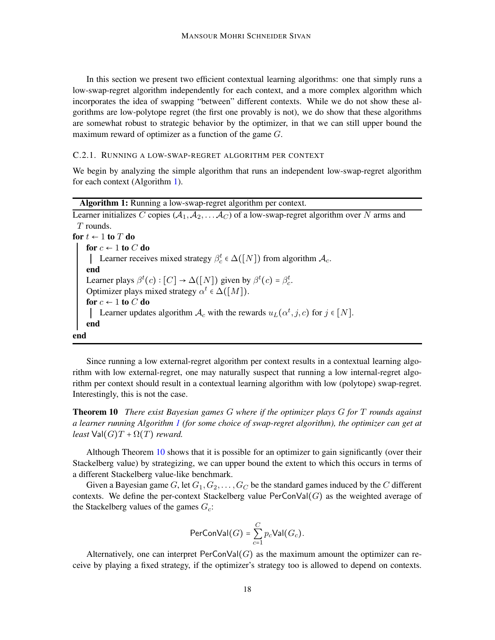In this section we present two efficient contextual learning algorithms: one that simply runs a low-swap-regret algorithm independently for each context, and a more complex algorithm which incorporates the idea of swapping "between" different contexts. While we do not show these algorithms are low-polytope regret (the first one provably is not), we do show that these algorithms are somewhat robust to strategic behavior by the optimizer, in that we can still upper bound the maximum reward of optimizer as a function of the game G.

### C.2.1. RUNNING A LOW-SWAP-REGRET ALGORITHM PER CONTEXT

We begin by analyzing the simple algorithm that runs an independent low-swap-regret algorithm for each context (Algorithm [1\)](#page-17-1).

<span id="page-17-1"></span>

| <b>Algorithm 1:</b> Running a low-swap-regret algorithm per context.                                  |
|-------------------------------------------------------------------------------------------------------|
| Learner initializes C copies $(A_1, A_2, \ldots, A_C)$ of a low-swap-regret algorithm over N arms and |
| $T$ rounds.                                                                                           |
| for $t \leftarrow 1$ to $T$ do                                                                        |
| for $c \leftarrow 1$ to C do                                                                          |
| Learner receives mixed strategy $\beta_c^t \in \Delta([N])$ from algorithm $\mathcal{A}_c$ .          |
| end                                                                                                   |
| Learner plays $\beta^t(c): [C] \to \Delta([N])$ given by $\beta^t(c) = \beta_c^t$ .                   |
| Optimizer plays mixed strategy $\alpha^t \in \Delta([M])$ .                                           |
| for $c \leftarrow 1$ to C do                                                                          |
| Learner updates algorithm $A_c$ with the rewards $u_L(\alpha^t, j, c)$ for $j \in [N]$ .              |
| end                                                                                                   |
| end                                                                                                   |

Since running a low external-regret algorithm per context results in a contextual learning algorithm with low external-regret, one may naturally suspect that running a low internal-regret algorithm per context should result in a contextual learning algorithm with low (polytope) swap-regret. Interestingly, this is not the case.

<span id="page-17-0"></span>Theorem 10 *There exist Bayesian games* G *where if the optimizer plays* G *for* T *rounds against a learner running Algorithm [1](#page-17-1) (for some choice of swap-regret algorithm), the optimizer can get at least*  $Val(G)T + \Omega(T)$  *reward.* 

Although Theorem [10](#page-17-0) shows that it is possible for an optimizer to gain significantly (over their Stackelberg value) by strategizing, we can upper bound the extent to which this occurs in terms of a different Stackelberg value-like benchmark.

Given a Bayesian game G, let  $G_1, G_2, \ldots, G_C$  be the standard games induced by the C different contexts. We define the per-context Stackelberg value  $\text{PerConVal}(G)$  as the weighted average of the Stackelberg values of the games  $G_c$ :

$$
\mathsf{PerConVal}(G) = \sum_{c=1}^{C} p_c \mathsf{Val}(G_c).
$$

Alternatively, one can interpret  $\text{PerConVal}(G)$  as the maximum amount the optimizer can receive by playing a fixed strategy, if the optimizer's strategy too is allowed to depend on contexts.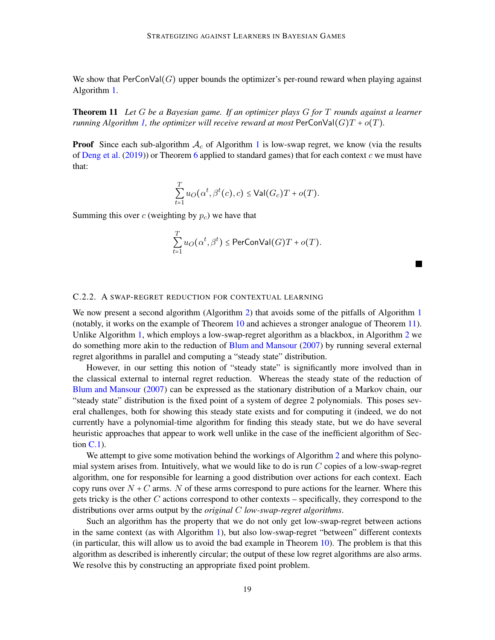<span id="page-18-0"></span>We show that  $PerConVal(G)$  upper bounds the optimizer's per-round reward when playing against Algorithm [1.](#page-17-1)

Theorem 11 *Let* G *be a Bayesian game. If an optimizer plays* G *for* T *rounds against a learner running Algorithm [1,](#page-17-1) the optimizer will receive reward at most*  $\text{PerConVal}(G)T + o(T)$ *.* 

**Proof** Since each sub-algorithm  $A_c$  of Algorithm [1](#page-17-1) is low-swap regret, we know (via the results of [Deng et al.](#page-12-0) [\(2019\)](#page-12-0)) or Theorem [6](#page-11-0) applied to standard games) that for each context  $c$  we must have that:

$$
\sum_{t=1}^T u_O(\alpha^t, \beta^t(c), c) \leq \mathsf{Val}(G_c)T + o(T).
$$

Summing this over  $c$  (weighting by  $p_c$ ) we have that

$$
\sum_{t=1}^T u_O(\alpha^t,\beta^t) \leq \mathsf{PerConVal}(G)T + o(T).
$$

 $\blacksquare$ 

## C.2.2. A SWAP-REGRET REDUCTION FOR CONTEXTUAL LEARNING

We now present a second algorithm (Algorithm [2\)](#page-19-0) that avoids some of the pitfalls of Algorithm [1](#page-17-1) (notably, it works on the example of Theorem [10](#page-17-0) and achieves a stronger analogue of Theorem [11\)](#page-18-0). Unlike Algorithm [1,](#page-17-1) which employs a low-swap-regret algorithm as a blackbox, in Algorithm [2](#page-19-0) we do something more akin to the reduction of [Blum and Mansour](#page-12-2) [\(2007](#page-12-2)) by running several external regret algorithms in parallel and computing a "steady state" distribution.

However, in our setting this notion of "steady state" is significantly more involved than in the classical external to internal regret reduction. Whereas the steady state of the reduction of [Blum and Mansour](#page-12-2) [\(2007](#page-12-2)) can be expressed as the stationary distribution of a Markov chain, our "steady state" distribution is the fixed point of a system of degree 2 polynomials. This poses several challenges, both for showing this steady state exists and for computing it (indeed, we do not currently have a polynomial-time algorithm for finding this steady state, but we do have several heuristic approaches that appear to work well unlike in the case of the inefficient algorithm of Section  $C.1$ ).

We attempt to give some motivation behind the workings of Algorithm [2](#page-19-0) and where this polynomial system arises from. Intuitively, what we would like to do is run  $C$  copies of a low-swap-regret algorithm, one for responsible for learning a good distribution over actions for each context. Each copy runs over  $N + C$  arms. N of these arms correspond to pure actions for the learner. Where this gets tricky is the other C actions correspond to other contexts – specifically, they correspond to the distributions over arms output by the *original* C *low-swap-regret algorithms*.

Such an algorithm has the property that we do not only get low-swap-regret between actions in the same context (as with Algorithm [1\)](#page-17-1), but also low-swap-regret "between" different contexts (in particular, this will allow us to avoid the bad example in Theorem [10\)](#page-17-0). The problem is that this algorithm as described is inherently circular; the output of these low regret algorithms are also arms. We resolve this by constructing an appropriate fixed point problem.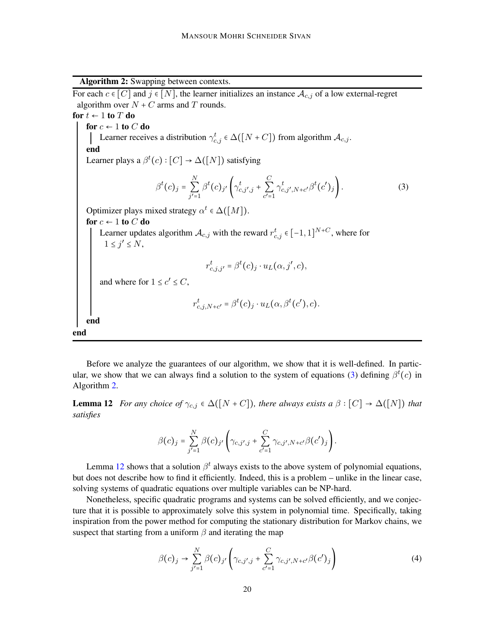Algorithm 2: Swapping between contexts.

<span id="page-19-0"></span>For each  $c \in [C]$  and  $j \in [N]$ , the learner initializes an instance  $\mathcal{A}_{c,j}$  of a low external-regret algorithm over  $N + C$  arms and T rounds. for  $t \leftarrow 1$  to  $T$  do for  $c \leftarrow 1$  to  $C$  do Learner receives a distribution  $\gamma_{c,j}^t \in \Delta([N+C])$  from algorithm  $\mathcal{A}_{c,j}$ . end Learner plays a  $\beta^t(c): [C] \to \Delta([N])$  satisfying  $\beta^t(c)_j =$ N  $\sum_{j'=1}$  $\beta^t(c)_{j'}\biggl(\gamma_{c,j',j}^t + \sum^C$  $\sum_{c'=1}$  $\gamma_{c,j',N+c'}^{t} \beta^{t}(c')_{j}$ . (3) Optimizer plays mixed strategy  $\alpha^t \in \Delta([M]).$ for  $c \leftarrow 1$  to  $C$  do Learner updates algorithm  $\mathcal{A}_{c,j}$  with the reward  $r_{c,j}^t \in [-1,1]^{N+C}$ , where for  $1 \leq j' \leq N$ ,  $r_{c,j,j'}^t = \beta^t(c)_j \cdot u_L(\alpha, j', c),$ and where for  $1 \leq c' \leq C$ ,  $r_{c,j,N+c'}^{t} = \beta^{t}(c)_j \cdot u_L(\alpha, \beta^{t}(c'), c).$ end end

Before we analyze the guarantees of our algorithm, we show that it is well-defined. In partic-ular, we show that we can always find a solution to the system of equations [\(3\)](#page-19-0) defining  $\beta^t(c)$  in Algorithm [2.](#page-19-0)

<span id="page-19-1"></span>**Lemma 12** *For any choice of*  $\gamma_{c,j} \in \Delta([N+C])$ *, there always exists a*  $\beta : [C] \rightarrow \Delta([N])$  *that satisfies*

$$
\beta(c)_j = \sum_{j'=1}^N \beta(c)_{j'} \left( \gamma_{c,j',j} + \sum_{c'=1}^C \gamma_{c,j',N+c'} \beta(c')_j \right).
$$

Lemma [12](#page-19-1) shows that a solution  $\beta^t$  always exists to the above system of polynomial equations, but does not describe how to find it efficiently. Indeed, this is a problem – unlike in the linear case, solving systems of quadratic equations over multiple variables can be NP-hard.

Nonetheless, specific quadratic programs and systems can be solved efficiently, and we conjecture that it is possible to approximately solve this system in polynomial time. Specifically, taking inspiration from the power method for computing the stationary distribution for Markov chains, we suspect that starting from a uniform  $\beta$  and iterating the map

<span id="page-19-2"></span>
$$
\beta(c)_j \to \sum_{j'=1}^N \beta(c)_{j'} \left( \gamma_{c,j',j} + \sum_{c'=1}^C \gamma_{c,j',N+c'} \beta(c')_j \right)
$$
(4)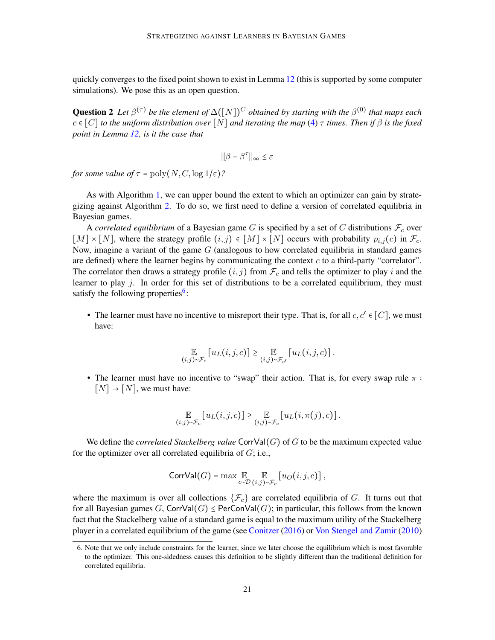quickly converges to the fixed point shown to exist in Lemma [12](#page-19-1) (this is supported by some computer simulations). We pose this as an open question.

**Question 2** Let  $\beta^{(\tau)}$  be the element of  $\Delta([N])^C$  obtained by starting with the  $\beta^{(0)}$  that maps each  $c \in [C]$  *to the uniform distribution over*  $[N]$  *and iterating the map* [\(4\)](#page-19-2)  $\tau$  *times. Then if*  $\beta$  *is the fixed point in Lemma [12,](#page-19-1) is it the case that*

$$
\big|\big|\beta-\beta^\tau\big|\big|_\infty\leq \varepsilon
$$

*for some value of*  $\tau = \text{poly}(N, C, \log 1/\varepsilon)$ ?

As with Algorithm [1,](#page-17-1) we can upper bound the extent to which an optimizer can gain by strategizing against Algorithm [2.](#page-19-0) To do so, we first need to define a version of correlated equilibria in Bayesian games.

A *correlated equilibrium* of a Bayesian game  $G$  is specified by a set of  $C$  distributions  $\mathcal{F}_c$  over  $[M] \times [N]$ , where the strategy profile  $(i, j) \in [M] \times [N]$  occurs with probability  $p_{i,j}(c)$  in  $\mathcal{F}_c$ . Now, imagine a variant of the game  $G$  (analogous to how correlated equilibria in standard games are defined) where the learner begins by communicating the context  $c$  to a third-party "correlator". The correlator then draws a strategy profile  $(i, j)$  from  $\mathcal{F}_c$  and tells the optimizer to play i and the learner to play  $j$ . In order for this set of distributions to be a correlated equilibrium, they must satisfy the following properties<sup>[6](#page-20-0)</sup>:

• The learner must have no incentive to misreport their type. That is, for all  $c, c' \in [C]$ , we must have:

$$
\mathop{\mathbb{E}}_{(i,j)\sim\mathcal{F}_c}\left[u_L(i,j,c)\right]\geq \mathop{\mathbb{E}}_{(i,j)\sim\mathcal{F}_{c'}}\left[u_L(i,j,c)\right].
$$

• The learner must have no incentive to "swap" their action. That is, for every swap rule  $\pi$ :  $[N] \rightarrow [N]$ , we must have:

$$
\mathop{\mathbb{E}}_{(i,j)\sim\mathcal{F}_c}\left[u_L(i,j,c)\right]\geq \mathop{\mathbb{E}}_{(i,j)\sim\mathcal{F}_c}\left[u_L(i,\pi(j),c)\right].
$$

We define the *correlated Stackelberg value* CorrVal(G) of G to be the maximum expected value for the optimizer over all correlated equilibria of  $G$ ; i.e.,

$$
\text{CorrVal}(G) = \max \mathop{\mathbb{E}}_{c \sim \mathcal{D}} \mathop{\mathbb{E}}_{(i,j) \sim \mathcal{F}_c} \left[ u_O(i,j,c) \right],
$$

where the maximum is over all collections  $\{\mathcal{F}_c\}$  are correlated equilibria of G. It turns out that for all Bayesian games G, CorrVal $(G) \leq$  PerConVal $(G)$ ; in particular, this follows from the known fact that the Stackelberg value of a standard game is equal to the maximum utility of the Stackelberg player in a correlated equilibrium of the game (see [Conitzer](#page-12-4) [\(2016](#page-12-4)) or [Von Stengel and Zamir](#page-13-5) [\(2010](#page-13-5))

<span id="page-20-0"></span><sup>6.</sup> Note that we only include constraints for the learner, since we later choose the equilibrium which is most favorable to the optimizer. This one-sidedness causes this definition to be slightly different than the traditional definition for correlated equilibria.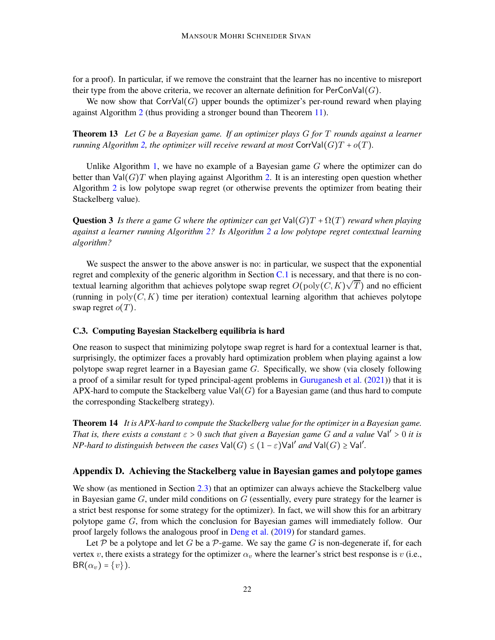for a proof). In particular, if we remove the constraint that the learner has no incentive to misreport their type from the above criteria, we recover an alternate definition for  $PerConVal(G)$ .

<span id="page-21-3"></span>We now show that  $CorvVal(G)$  upper bounds the optimizer's per-round reward when playing against Algorithm [2](#page-19-0) (thus providing a stronger bound than Theorem [11\)](#page-18-0).

Theorem 13 *Let* G *be a Bayesian game. If an optimizer plays* G *for* T *rounds against a learner running Algorithm [2,](#page-19-0) the optimizer will receive reward at most*  $CorrVal(G)T + o(T)$ *.* 

Unlike Algorithm [1,](#page-17-1) we have no example of a Bayesian game  $G$  where the optimizer can do better than  $Val(G)$  when playing against Algorithm [2.](#page-19-0) It is an interesting open question whether Algorithm [2](#page-19-0) is low polytope swap regret (or otherwise prevents the optimizer from beating their Stackelberg value).

**Question 3** *Is there a game G where the optimizer can get*  $Val(G)T + \Omega(T)$  *reward when playing against a learner running Algorithm [2?](#page-19-0) Is Algorithm [2](#page-19-0) a low polytope regret contextual learning algorithm?*

We suspect the answer to the above answer is no: in particular, we suspect that the exponential regret and complexity of the generic algorithm in Section  $C<sub>1</sub>$  is necessary, and that there is no contextual learning algorithm that achieves polytope swap regret  $O(poly(C, K)\sqrt{T})$  and no efficient (running in  $poly(C, K)$  time per iteration) contextual learning algorithm that achieves polytope swap regret  $o(T)$ .

## C.3. Computing Bayesian Stackelberg equilibria is hard

One reason to suspect that minimizing polytope swap regret is hard for a contextual learner is that, surprisingly, the optimizer faces a provably hard optimization problem when playing against a low polytope swap regret learner in a Bayesian game G. Specifically, we show (via closely following a proof of a similar result for typed principal-agent problems in [Guruganesh et al.](#page-13-6) [\(2021](#page-13-6))) that it is APX-hard to compute the Stackelberg value  $Val(G)$  for a Bayesian game (and thus hard to compute the corresponding Stackelberg strategy).

<span id="page-21-1"></span>Theorem 14 *It is APX-hard to compute the Stackelberg value for the optimizer in a Bayesian game. That is, there exists a constant*  $\varepsilon > 0$  *such that given a Bayesian game G and a value*  $Val' > 0$  *it is NP-hard to distinguish between the cases*  $\text{Val}(G) \leq (1 - \varepsilon) \text{Val}'$  *and*  $\text{Val}(G) \geq \text{Val}'.$ 

# <span id="page-21-2"></span>Appendix D. Achieving the Stackelberg value in Bayesian games and polytope games

We show (as mentioned in Section [2.3\)](#page-5-1) that an optimizer can always achieve the Stackelberg value in Bayesian game  $G$ , under mild conditions on  $G$  (essentially, every pure strategy for the learner is a strict best response for some strategy for the optimizer). In fact, we will show this for an arbitrary polytope game G, from which the conclusion for Bayesian games will immediately follow. Our proof largely follows the analogous proof in [Deng et al.](#page-12-0) [\(2019](#page-12-0)) for standard games.

<span id="page-21-0"></span>Let P be a polytope and let G be a P-game. We say the game G is non-degenerate if, for each vertex v, there exists a strategy for the optimizer  $\alpha_v$  where the learner's strict best response is v (i.e.,  $BR(\alpha_v) = \{v\}$ ).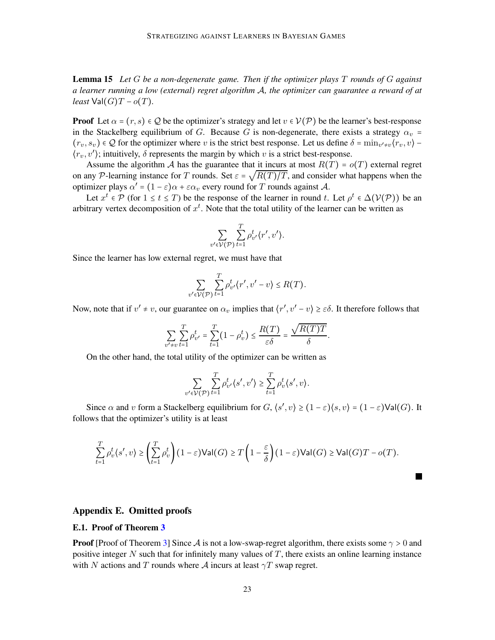Lemma 15 *Let* G *be a non-degenerate game. Then if the optimizer plays* T *rounds of* G *against a learner running a low (external) regret algorithm* A*, the optimizer can guarantee a reward of at least*  $Val(G)T - o(T)$ *.* 

**Proof** Let  $\alpha = (r, s) \in \mathcal{Q}$  be the optimizer's strategy and let  $v \in \mathcal{V}(\mathcal{P})$  be the learner's best-response in the Stackelberg equilibrium of G. Because G is non-degenerate, there exists a strategy  $\alpha_v$  =  $(r_v, s_v) \in \mathcal{Q}$  for the optimizer where v is the strict best response. Let us define  $\delta = \min_{v' \neq v} \langle r_v, v \rangle$  $\langle r_v, v' \rangle$ ; intuitively,  $\delta$  represents the margin by which v is a strict best-response.

Assume the algorithm A has the guarantee that it incurs at most  $R(T) = o(T)$  external regret on any P-learning instance for T rounds. Set  $\varepsilon = \sqrt{R(T)/T}$ , and consider what happens when the optimizer plays  $\alpha' = (1 - \varepsilon)\alpha + \varepsilon \alpha_v$  every round for T rounds against A.

Let  $x^t \in \mathcal{P}$  (for  $1 \le t \le T$ ) be the response of the learner in round t. Let  $\rho^t \in \Delta(\mathcal{V}(\mathcal{P}))$  be an arbitrary vertex decomposition of  $x^t$ . Note that the total utility of the learner can be written as

$$
\sum_{v' \in \mathcal{V}(\mathcal{P})} \sum_{t=1}^T \rho_{v'}^t \langle r', v' \rangle.
$$

Since the learner has low external regret, we must have that

$$
\sum_{v' \in \mathcal{V}(\mathcal{P})} \sum_{t=1}^T \rho_{v'}^t \langle r', v' - v \rangle \leq R(T).
$$

Now, note that if  $v' \neq v$ , our guarantee on  $\alpha_v$  implies that  $\langle r', v' - v \rangle \geq \varepsilon \delta$ . It therefore follows that

$$
\sum_{v' \neq v} \sum_{t=1}^T \rho_{v'}^t = \sum_{t=1}^T (1 - \rho_v^t) \le \frac{R(T)}{\varepsilon \delta} = \frac{\sqrt{R(T)}T}{\delta}.
$$

On the other hand, the total utility of the optimizer can be written as

v

$$
\sum_{v' \in \mathcal{V}(\mathcal{P})} \sum_{t=1}^T \rho_{v'}^t \langle s', v' \rangle \ge \sum_{t=1}^T \rho_{v}^t \langle s', v \rangle.
$$

Since  $\alpha$  and v form a Stackelberg equilibrium for  $G, \langle s', v \rangle \ge (1 - \varepsilon) \langle s, v \rangle = (1 - \varepsilon) \text{Val}(G)$ . It follows that the optimizer's utility is at least

$$
\sum_{t=1}^T \rho_v^t(s', v) \ge \left(\sum_{t=1}^T \rho_v^t\right) (1 - \varepsilon) \mathsf{Val}(G) \ge T\left(1 - \frac{\varepsilon}{\delta}\right) (1 - \varepsilon) \mathsf{Val}(G) \ge \mathsf{Val}(G)T - o(T).
$$

ш

### <span id="page-22-0"></span>Appendix E. Omitted proofs

#### E.1. Proof of Theorem [3](#page-7-1)

**Proof** [Proof of Theorem [3\]](#page-7-1) Since A is not a low-swap-regret algorithm, there exists some  $\gamma > 0$  and positive integer N such that for infinitely many values of  $T$ , there exists an online learning instance with N actions and T rounds where A incurs at least  $\gamma T$  swap regret.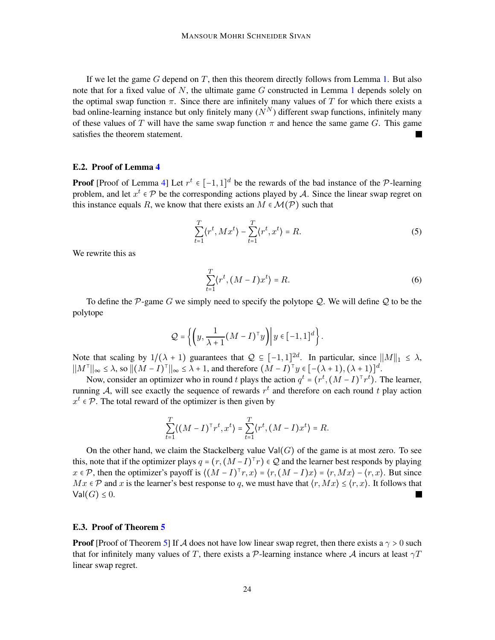If we let the game  $G$  depend on  $T$ , then this theorem directly follows from Lemma [1.](#page-6-3) But also note that for a fixed value of  $N$ , the ultimate game  $G$  constructed in Lemma [1](#page-6-3) depends solely on the optimal swap function  $\pi$ . Since there are infinitely many values of T for which there exists a bad online-learning instance but only finitely many  $(N^N)$  different swap functions, infinitely many of these values of T will have the same swap function  $\pi$  and hence the same game G. This game satisfies the theorem statement.

### E.2. Proof of Lemma [4](#page-10-1)

**Proof** [Proof of Lemma [4\]](#page-10-1) Let  $r^t \in [-1, 1]^d$  be the rewards of the bad instance of the P-learning problem, and let  $x^t \in \mathcal{P}$  be the corresponding actions played by A. Since the linear swap regret on this instance equals R, we know that there exists an  $M \in \mathcal{M}(\mathcal{P})$  such that

$$
\sum_{t=1}^{T} \langle r^t, M x^t \rangle - \sum_{t=1}^{T} \langle r^t, x^t \rangle = R. \tag{5}
$$

We rewrite this as

$$
\sum_{t=1}^{T} \langle r^t, (M-I)x^t \rangle = R. \tag{6}
$$

To define the  $P$ -game G we simply need to specify the polytope Q. We will define Q to be the polytope

$$
\mathcal{Q} = \left\{ \left( y, \frac{1}{\lambda + 1} (M - I)^{\top} y \right) \middle| y \in [-1, 1]^d \right\}.
$$

Note that scaling by  $1/(\lambda + 1)$  guarantees that  $Q \subseteq [-1,1]^{2d}$ . In particular, since  $||M||_1 \leq \lambda$ ,  $||M^{\top}||_{\infty} \leq \lambda$ , so  $||(M - I)^{\top}||_{\infty} \leq \lambda + 1$ , and therefore  $(M - I)^{\top}y \in [-(\lambda + 1), (\lambda + 1)]^d$ .

Now, consider an optimizer who in round t plays the action  $q^t = (r^t, (M - I)^T r^t)$ . The learner, running A, will see exactly the sequence of rewards  $r^t$  and therefore on each round t play action  $x^t \in \mathcal{P}$ . The total reward of the optimizer is then given by

$$
\sum_{t=1}^T \langle (M-I)^{\top}r^t, x^t \rangle = \sum_{t=1}^T \langle r^t, (M-I)x^t \rangle = R.
$$

On the other hand, we claim the Stackelberg value  $Val(G)$  of the game is at most zero. To see this, note that if the optimizer plays  $q = (r, (M - I)^{T}r) \in \mathcal{Q}$  and the learner best responds by playing  $x \in \mathcal{P}$ , then the optimizer's payoff is  $\langle (M-I)^{T}r, x \rangle = \langle r, (M-I)x \rangle = \langle r, Mx \rangle - \langle r, x \rangle$ . But since  $Mx \in \mathcal{P}$  and x is the learner's best response to q, we must have that  $\langle r, Mx \rangle \leq \langle r, x \rangle$ . It follows that  $Val(G) \leq 0$ .

#### E.3. Proof of Theorem [5](#page-10-3)

**Proof** [Proof of Theorem [5\]](#page-10-3) If A does not have low linear swap regret, then there exists a  $\gamma > 0$  such that for infinitely many values of T, there exists a P-learning instance where A incurs at least  $\gamma T$ linear swap regret.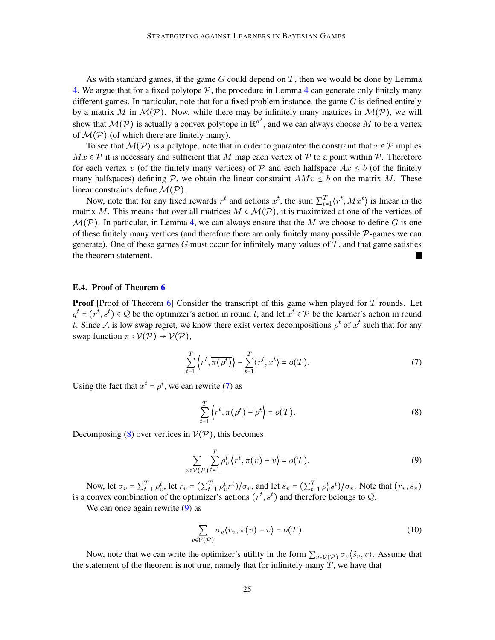As with standard games, if the game  $G$  could depend on  $T$ , then we would be done by Lemma [4.](#page-10-1) We argue that for a fixed polytope  $P$ , the procedure in Lemma [4](#page-10-1) can generate only finitely many different games. In particular, note that for a fixed problem instance, the game  $G$  is defined entirely by a matrix M in  $\mathcal{M}(\mathcal{P})$ . Now, while there may be infinitely many matrices in  $\mathcal{M}(\mathcal{P})$ , we will show that  $\mathcal{M}(\mathcal{P})$  is actually a convex polytope in  $\mathbb{R}^{d^2}$ , and we can always choose M to be a vertex of  $\mathcal{M}(\mathcal{P})$  (of which there are finitely many).

To see that  $\mathcal{M}(\mathcal{P})$  is a polytope, note that in order to guarantee the constraint that  $x \in \mathcal{P}$  implies  $Mx \in \mathcal{P}$  it is necessary and sufficient that M map each vertex of P to a point within P. Therefore for each vertex v (of the finitely many vertices) of P and each halfspace  $Ax \leq b$  (of the finitely many halfspaces) defining P, we obtain the linear constraint  $AMv \leq b$  on the matrix M. These linear constraints define  $\mathcal{M}(\mathcal{P})$ .

Now, note that for any fixed rewards  $r^t$  and actions  $x^t$ , the sum  $\sum_{t=1}^T \langle r^t, M x^t \rangle$  is linear in the matrix M. This means that over all matrices  $M \in \mathcal{M}(\mathcal{P})$ , it is maximized at one of the vertices of  $\mathcal{M}(\mathcal{P})$ . In particular, in Lemma [4,](#page-10-1) we can always ensure that the M we choose to define G is one of these finitely many vertices (and therefore there are only finitely many possible  $P$ -games we can generate). One of these games  $G$  must occur for infinitely many values of  $T$ , and that game satisfies the theorem statement. ٠

#### E.4. Proof of Theorem [6](#page-11-0)

**Proof** [Proof of Theorem [6\]](#page-11-0) Consider the transcript of this game when played for  $T$  rounds. Let  $q^t = (r^t, s^t) \in \mathcal{Q}$  be the optimizer's action in round t, and let  $x^t \in \mathcal{P}$  be the learner's action in round t. Since A is low swap regret, we know there exist vertex decompositions  $\rho^t$  of  $x^t$  such that for any swap function  $\pi : \mathcal{V}(\mathcal{P}) \to \mathcal{V}(\mathcal{P}),$ 

<span id="page-24-0"></span>
$$
\sum_{t=1}^{T} \left\langle r^t, \overline{\pi(\rho^t)} \right\rangle - \sum_{t=1}^{T} \left\langle r^t, x^t \right\rangle = o(T). \tag{7}
$$

Using the fact that  $x^t = \overline{\rho^t}$ , we can rewrite [\(7\)](#page-24-0) as

<span id="page-24-1"></span>
$$
\sum_{t=1}^{T} \left\langle r^t, \overline{\pi(\rho^t)} - \overline{\rho^t} \right\rangle = o(T). \tag{8}
$$

Decomposing [\(8\)](#page-24-1) over vertices in  $V(\mathcal{P})$ , this becomes

<span id="page-24-2"></span>
$$
\sum_{v \in \mathcal{V}(\mathcal{P})} \sum_{t=1}^{T} \rho_v^t \left\langle r^t, \pi(v) - v \right\rangle = o(T). \tag{9}
$$

Now, let  $\sigma_v = \sum_{t=1}^T \rho_v^t$ , let  $\tilde{r}_v = (\sum_{t=1}^T \rho_v^t r^t) / \sigma_v$ , and let  $\tilde{s}_v = (\sum_{t=1}^T \rho_v^t s^t) / \sigma_v$ . Note that  $(\tilde{r}_v, \tilde{s}_v)$ is a convex combination of the optimizer's actions  $(r^t, s^t)$  and therefore belongs to  $Q$ .

We can once again rewrite  $(9)$  as

<span id="page-24-3"></span>
$$
\sum_{v \in \mathcal{V}(\mathcal{P})} \sigma_v \langle \tilde{r}_v, \pi(v) - v \rangle = o(T). \tag{10}
$$

Now, note that we can write the optimizer's utility in the form  $\sum_{v \in V(\mathcal{P})} \sigma_v(\tilde{s}_v, v)$ . Assume that the statement of the theorem is not true, namely that for infinitely many  $T$ , we have that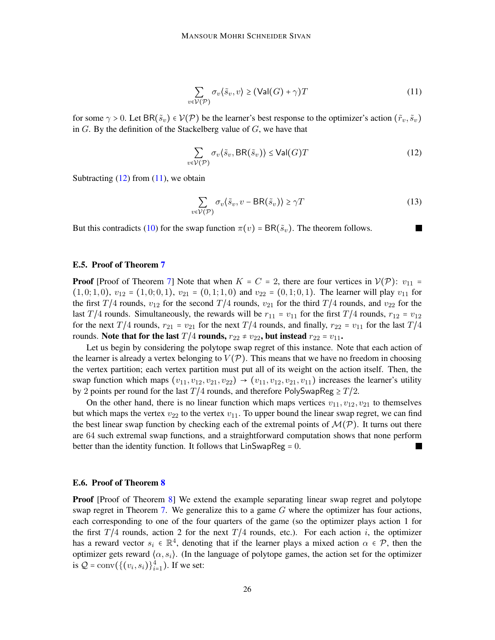<span id="page-25-1"></span>
$$
\sum_{v \in \mathcal{V}(\mathcal{P})} \sigma_v(\tilde{s}_v, v) \ge (\text{Val}(G) + \gamma)T \tag{11}
$$

for some  $\gamma > 0$ . Let BR( $\tilde{s}_v$ )  $\in \mathcal{V}(\mathcal{P})$  be the learner's best response to the optimizer's action  $(\tilde{r}_v, \tilde{s}_v)$ in  $G$ . By the definition of the Stackelberg value of  $G$ , we have that

<span id="page-25-0"></span>
$$
\sum_{v \in \mathcal{V}(\mathcal{P})} \sigma_v(\tilde{s}_v, \text{BR}(\tilde{s}_v)) \le \text{Val}(G)T \tag{12}
$$

Subtracting  $(12)$  from  $(11)$ , we obtain

$$
\sum_{v \in \mathcal{V}(\mathcal{P})} \sigma_v(\tilde{s}_v, v - \text{BR}(\tilde{s}_v)) \ge \gamma T \tag{13}
$$

But this contradicts [\(10\)](#page-24-3) for the swap function  $\pi(v) = BR(\tilde{s}_v)$ . The theorem follows.

#### E.5. Proof of Theorem [7](#page-15-0)

**Proof** [Proof of Theorem [7\]](#page-15-0) Note that when  $K = C = 2$ , there are four vertices in  $V(\mathcal{P})$ :  $v_{11} =$  $(1, 0; 1, 0), v_{12} = (1, 0; 0, 1), v_{21} = (0, 1; 1, 0)$  and  $v_{22} = (0, 1; 0, 1)$ . The learner will play  $v_{11}$  for the first T/4 rounds,  $v_{12}$  for the second T/4 rounds,  $v_{21}$  for the third T/4 rounds, and  $v_{22}$  for the last T/4 rounds. Simultaneously, the rewards will be  $r_{11} = v_{11}$  for the first T/4 rounds,  $r_{12} = v_{12}$ for the next T/4 rounds,  $r_{21} = v_{21}$  for the next T/4 rounds, and finally,  $r_{22} = v_{11}$  for the last T/4 rounds. Note that for the last  $T/4$  rounds,  $r_{22} \neq v_{22}$ , but instead  $r_{22} = v_{11}$ .

Let us begin by considering the polytope swap regret of this instance. Note that each action of the learner is already a vertex belonging to  $V(\mathcal{P})$ . This means that we have no freedom in choosing the vertex partition; each vertex partition must put all of its weight on the action itself. Then, the swap function which maps  $(v_{11}, v_{12}, v_{21}, v_{22}) \rightarrow (v_{11}, v_{12}, v_{21}, v_{11})$  increases the learner's utility by 2 points per round for the last  $T/4$  rounds, and therefore PolySwapReg  $\geq T/2$ .

On the other hand, there is no linear function which maps vertices  $v_{11}, v_{12}, v_{21}$  to themselves but which maps the vertex  $v_{22}$  to the vertex  $v_{11}$ . To upper bound the linear swap regret, we can find the best linear swap function by checking each of the extremal points of  $\mathcal{M}(\mathcal{P})$ . It turns out there are 64 such extremal swap functions, and a straightforward computation shows that none perform better than the identity function. It follows that  $\text{LinSwapReg} = 0$ .

#### E.6. Proof of Theorem [8](#page-15-1)

Proof [Proof of Theorem [8\]](#page-15-1) We extend the example separating linear swap regret and polytope swap regret in Theorem [7.](#page-15-0) We generalize this to a game  $G$  where the optimizer has four actions, each corresponding to one of the four quarters of the game (so the optimizer plays action 1 for the first  $T/4$  rounds, action 2 for the next  $T/4$  rounds, etc.). For each action i, the optimizer has a reward vector  $s_i \in \mathbb{R}^4$ , denoting that if the learner plays a mixed action  $\alpha \in \mathcal{P}$ , then the optimizer gets reward  $\langle \alpha, s_i \rangle$ . (In the language of polytope games, the action set for the optimizer is  $Q = \text{conv}(\{(v_i, s_i)\}_{i=1}^4)$ . If we set: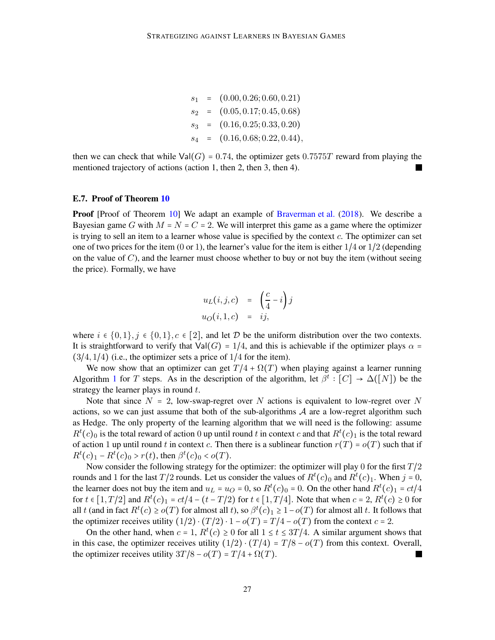$s_1 = (0.00, 0.26; 0.60, 0.21)$  $s_2 = (0.05, 0.17; 0.45, 0.68)$  $s_3 = (0.16, 0.25; 0.33, 0.20)$  $s_4 = (0.16, 0.68; 0.22, 0.44),$ 

then we can check that while  $Val(G) = 0.74$ , the optimizer gets 0.7575T reward from playing the mentioned trajectory of actions (action 1, then 2, then 3, then 4).

#### E.7. Proof of Theorem [10](#page-17-0)

**Proof** [Proof of Theorem [10\]](#page-17-0) We adapt an example of [Braverman et al.](#page-12-1) [\(2018](#page-12-1)). We describe a Bayesian game G with  $M = N = C = 2$ . We will interpret this game as a game where the optimizer is trying to sell an item to a learner whose value is specified by the context c. The optimizer can set one of two prices for the item (0 or 1), the learner's value for the item is either  $1/4$  or  $1/2$  (depending on the value of  $C$ ), and the learner must choose whether to buy or not buy the item (without seeing the price). Formally, we have

$$
u_L(i,j,c) = \left(\frac{c}{4} - i\right)j
$$
  

$$
u_O(i,1,c) = ij,
$$

where  $i \in \{0,1\}, j \in \{0,1\}, c \in [2]$ , and let D be the uniform distribution over the two contexts. It is straightforward to verify that  $Val(G) = 1/4$ , and this is achievable if the optimizer plays  $\alpha =$  $(3/4, 1/4)$  (i.e., the optimizer sets a price of  $1/4$  for the item).

We now show that an optimizer can get  $T/4 + \Omega(T)$  when playing against a learner running Algorithm [1](#page-17-1) for T steps. As in the description of the algorithm, let  $\beta^t : [C] \to \Delta([N])$  be the strategy the learner plays in round  $t$ .

Note that since  $N = 2$ , low-swap-regret over N actions is equivalent to low-regret over N actions, so we can just assume that both of the sub-algorithms  $A$  are a low-regret algorithm such as Hedge. The only property of the learning algorithm that we will need is the following: assume  $R^t(c)_0$  is the total reward of action 0 up until round t in context c and that  $R^t(c)_1$  is the total reward of action 1 up until round t in context c. Then there is a sublinear function  $r(T) = o(T)$  such that if  $R^t(c)_1 - R^t(c)_0 > r(t)$ , then  $\beta^t(c)_0 < o(T)$ .

Now consider the following strategy for the optimizer: the optimizer will play 0 for the first  $T/2$ rounds and 1 for the last  $T/2$  rounds. Let us consider the values of  $R^t(c)_0$  and  $R^t(c)_1$ . When  $j = 0$ , the learner does not buy the item and  $u_L = u_O = 0$ , so  $R^t(c)_0 = 0$ . On the other hand  $R^t(c)_1 = ct/4$ for  $t \in [1, T/2]$  and  $R^t(c)_1 = ct/4 - (t - T/2)$  for  $t \in [1, T/4]$ . Note that when  $c = 2$ ,  $R^t(c) \ge 0$  for all t (and in fact  $R^t(c) \ge o(T)$  for almost all t), so  $\beta^t(c)_1 \ge 1-o(T)$  for almost all t. It follows that the optimizer receives utility  $(1/2) \cdot (T/2) \cdot 1 - o(T) = T/4 - o(T)$  from the context  $c = 2$ .

On the other hand, when  $c = 1$ ,  $R^t(c) \ge 0$  for all  $1 \le t \le 3T/4$ . A similar argument shows that in this case, the optimizer receives utility  $(1/2) \cdot (T/4) = T/8 - o(T)$  from this context. Overall, the optimizer receives utility  $3T/8 - o(T) = T/4 + \Omega(T)$ .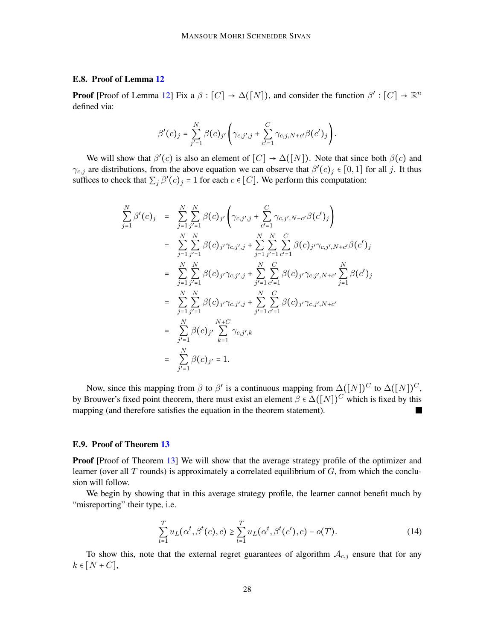## E.8. Proof of Lemma [12](#page-19-1)

**Proof** [Proof of Lemma [12\]](#page-19-1) Fix a  $\beta : [C] \to \Delta([N])$ , and consider the function  $\beta' : [C] \to \mathbb{R}^n$ defined via:

$$
\beta'(c)_j = \sum_{j'=1}^N \beta(c)_{j'} \left( \gamma_{c,j',j} + \sum_{c'=1}^C \gamma_{c,j,N+c'} \beta(c')_j \right).
$$

We will show that  $\beta'(c)$  is also an element of  $[C] \to \Delta([N])$ . Note that since both  $\beta(c)$  and  $\gamma_{c,j}$  are distributions, from the above equation we can observe that  $\beta'(c)_j \in [0,1]$  for all j. It thus suffices to check that  $\sum_j \beta'(c)_j = 1$  for each  $c \in [C]$ . We perform this computation:

$$
\sum_{j=1}^{N} \beta'(c)_j = \sum_{j=1}^{N} \sum_{j'=1}^{N} \beta(c)_{j'} \left( \gamma_{c,j',j} + \sum_{c'=1}^{C} \gamma_{c,j',N+c'} \beta(c')_j \right)
$$
\n
$$
= \sum_{j=1}^{N} \sum_{j'=1}^{N} \beta(c)_{j'} \gamma_{c,j',j} + \sum_{j=1}^{N} \sum_{j'=1}^{N} \sum_{c'=1}^{C} \beta(c)_{j'} \gamma_{c,j',N+c'} \beta(c')_j
$$
\n
$$
= \sum_{j=1}^{N} \sum_{j'=1}^{N} \beta(c)_{j'} \gamma_{c,j',j} + \sum_{j'=1}^{N} \sum_{c'=1}^{C} \beta(c)_{j'} \gamma_{c,j',N+c'} \sum_{j=1}^{N} \beta(c')_j
$$
\n
$$
= \sum_{j=1}^{N} \sum_{j'=1}^{N} \beta(c)_{j'} \gamma_{c,j',j} + \sum_{j'=1}^{N} \sum_{c'=1}^{C} \beta(c)_{j'} \gamma_{c,j',N+c'}
$$
\n
$$
= \sum_{j'=1}^{N} \beta(c)_{j'} \sum_{k=1}^{N+C} \gamma_{c,j',k}
$$
\n
$$
= \sum_{j'=1}^{N} \beta(c)_{j'} = 1.
$$

Now, since this mapping from  $\beta$  to  $\beta'$  is a continuous mapping from  $\Delta([N])^C$  to  $\Delta([N])^C$ , by Brouwer's fixed point theorem, there must exist an element  $\beta \in \Delta([N])^C$  which is fixed by this mapping (and therefore satisfies the equation in the theorem statement).

### E.9. Proof of Theorem [13](#page-21-3)

**Proof** [Proof of Theorem [13\]](#page-21-3) We will show that the average strategy profile of the optimizer and learner (over all  $T$  rounds) is approximately a correlated equilibrium of  $G$ , from which the conclusion will follow.

We begin by showing that in this average strategy profile, the learner cannot benefit much by "misreporting" their type, i.e.

<span id="page-27-0"></span>
$$
\sum_{t=1}^{T} u_L(\alpha^t, \beta^t(c), c) \ge \sum_{t=1}^{T} u_L(\alpha^t, \beta^t(c'), c) - o(T). \tag{14}
$$

To show this, note that the external regret guarantees of algorithm  $A_{c,j}$  ensure that for any  $k \in [N+C],$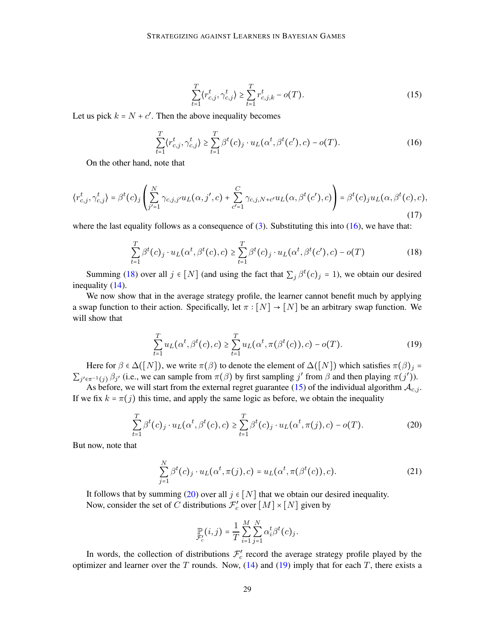<span id="page-28-2"></span>
$$
\sum_{t=1}^{T} \langle r_{c,j}^t, \gamma_{c,j}^t \rangle \ge \sum_{t=1}^{T} r_{c,j,k}^t - o(T). \tag{15}
$$

Let us pick  $k = N + c'$ . Then the above inequality becomes

<span id="page-28-0"></span>
$$
\sum_{t=1}^{T} \langle r_{c,j}^t, \gamma_{c,j}^t \rangle \ge \sum_{t=1}^{T} \beta^t(c)_j \cdot u_L(\alpha^t, \beta^t(c'), c) - o(T). \tag{16}
$$

On the other hand, note that

$$
\langle r_{c,j}^t, \gamma_{c,j}^t \rangle = \beta^t(c)_j \left( \sum_{j'=1}^N \gamma_{c,j,j'} u_L(\alpha, j', c) + \sum_{c'=1}^C \gamma_{c,j,N+c'} u_L(\alpha, \beta^t(c'), c) \right) = \beta^t(c)_j u_L(\alpha, \beta^t(c), c), \tag{17}
$$

where the last equality follows as a consequence of  $(3)$ . Substituting this into  $(16)$ , we have that:

<span id="page-28-1"></span>
$$
\sum_{t=1}^{T} \beta^{t}(c)_{j} \cdot u_{L}(\alpha^{t}, \beta^{t}(c), c) \geq \sum_{t=1}^{T} \beta^{t}(c)_{j} \cdot u_{L}(\alpha^{t}, \beta^{t}(c'), c) - o(T)
$$
\n(18)

Summing [\(18\)](#page-28-1) over all  $j \in [N]$  (and using the fact that  $\sum_j \beta^t(c)_{j} = 1$ ), we obtain our desired inequality [\(14\)](#page-27-0).

We now show that in the average strategy profile, the learner cannot benefit much by applying a swap function to their action. Specifically, let  $\pi : [N] \to [N]$  be an arbitrary swap function. We will show that

<span id="page-28-4"></span>
$$
\sum_{t=1}^{T} u_L(\alpha^t, \beta^t(c), c) \ge \sum_{t=1}^{T} u_L(\alpha^t, \pi(\beta^t(c)), c) - o(T). \tag{19}
$$

Here for  $\beta \in \Delta([N])$ , we write  $\pi(\beta)$  to denote the element of  $\Delta([N])$  which satisfies  $\pi(\beta)_j =$  $\sum_{j' \in \pi^{-1}(j)} \beta_{j'}$  (i.e., we can sample from  $\pi(\beta)$  by first sampling j' from  $\beta$  and then playing  $\pi(j')$ ).

As before, we will start from the external regret guarantee [\(15\)](#page-28-2) of the individual algorithm  $A_{c,j}$ . If we fix  $k = \pi(j)$  this time, and apply the same logic as before, we obtain the inequality

<span id="page-28-3"></span>
$$
\sum_{t=1}^{T} \beta^{t}(c)_{j} \cdot u_{L}(\alpha^{t}, \beta^{t}(c), c) \geq \sum_{t=1}^{T} \beta^{t}(c)_{j} \cdot u_{L}(\alpha^{t}, \pi(j), c) - o(T).
$$
 (20)

But now, note that

$$
\sum_{j=1}^{N} \beta^{t}(c)_{j} \cdot u_{L}(\alpha^{t}, \pi(j), c) = u_{L}(\alpha^{t}, \pi(\beta^{t}(c)), c).
$$
 (21)

It follows that by summing [\(20\)](#page-28-3) over all  $j \in [N]$  that we obtain our desired inequality. Now, consider the set of C distributions  $\mathcal{F}'_c$  over  $[M] \times [N]$  given by

$$
\mathop{\mathbb{P}}_{\mathcal{F}_c}(i,j) = \frac{1}{T}\sum_{i=1}^M\sum_{j=1}^N\alpha_i^t\beta^t(c)_j.
$$

In words, the collection of distributions  $\mathcal{F}'_c$  record the average strategy profile played by the optimizer and learner over the T rounds. Now,  $(14)$  and  $(19)$  imply that for each T, there exists a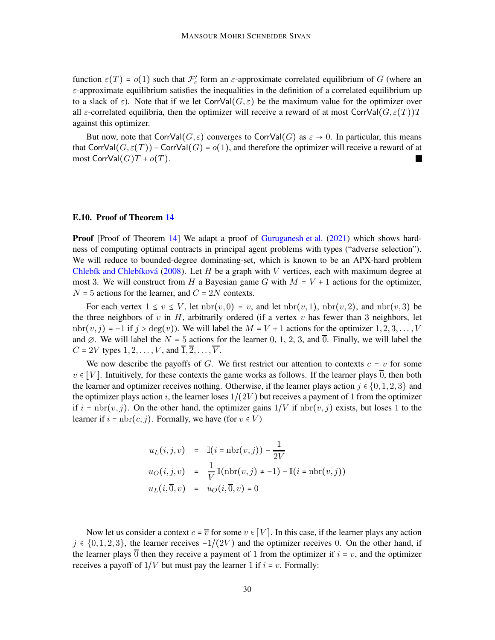function  $\varepsilon(T) = o(1)$  such that  $\mathcal{F}'_c$  form an  $\varepsilon$ -approximate correlated equilibrium of G (where an  $\varepsilon$ -approximate equilibrium satisfies the inequalities in the definition of a correlated equilibrium up to a slack of  $\varepsilon$ ). Note that if we let CorrVal $(G, \varepsilon)$  be the maximum value for the optimizer over all  $\varepsilon$ -correlated equilibria, then the optimizer will receive a reward of at most CorrVal $(G, \varepsilon(T))$ T against this optimizer.

But now, note that CorrVal $(G, \varepsilon)$  converges to CorrVal $(G)$  as  $\varepsilon \to 0$ . In particular, this means that CorrVal $(G, \varepsilon(T))$  – CorrVal $(G) = o(1)$ , and therefore the optimizer will receive a reward of at most  $\text{CorrVal}(G)T + o(T)$ .

## E.10. Proof of Theorem [14](#page-21-1)

**Proof** [Proof of Theorem [14\]](#page-21-1) We adapt a proof of [Guruganesh et al.](#page-13-6) [\(2021](#page-13-6)) which shows hardness of computing optimal contracts in principal agent problems with types ("adverse selection"). We will reduce to bounded-degree dominating-set, which is known to be an APX-hard problem Chlebík and Chlebíková [\(2008](#page-12-15)). Let H be a graph with V vertices, each with maximum degree at most 3. We will construct from H a Bayesian game G with  $M = V + 1$  actions for the optimizer,  $N = 5$  actions for the learner, and  $C = 2N$  contexts.

For each vertex  $1 \le v \le V$ , let  $nbr(v, 0) = v$ , and let  $nbr(v, 1)$ ,  $nbr(v, 2)$ , and  $nbr(v, 3)$  be the three neighbors of  $v$  in  $H$ , arbitrarily ordered (if a vertex  $v$  has fewer than 3 neighbors, let  $n^{\text{th}}(v, j) = -1$  if  $j > \text{deg}(v)$ ). We will label the  $M = V + 1$  actions for the optimizer  $1, 2, 3, \ldots, V$ and  $\emptyset$ . We will label the  $N = 5$  actions for the learner 0, 1, 2, 3, and  $\overline{0}$ . Finally, we will label the  $C = 2V$  types  $1, 2, \ldots, V$ , and  $\overline{1}, \overline{2}, \ldots, \overline{V}$ .

We now describe the payoffs of G. We first restrict our attention to contexts  $c = v$  for some  $v \in [V]$ . Intuitively, for these contexts the game works as follows. If the learner plays  $\overline{0}$ , then both the learner and optimizer receives nothing. Otherwise, if the learner plays action  $j \in \{0, 1, 2, 3\}$  and the optimizer plays action i, the learner loses  $1/(2V)$  but receives a payment of 1 from the optimizer if  $i = \text{nbr}(v, j)$ . On the other hand, the optimizer gains  $1/V$  if  $\text{nbr}(v, j)$  exists, but loses 1 to the learner if  $i = \text{nbr}(c, j)$ . Formally, we have (for  $v \in V$ )

$$
u_L(i,j,v) = \mathbb{I}(i = nbr(v,j)) - \frac{1}{2V}
$$
  

$$
u_O(i,j,v) = \frac{1}{V} \mathbb{I}(nbr(v,j) \neq -1) - \mathbb{I}(i = nbr(v,j))
$$
  

$$
u_L(i,\overline{0},v) = u_O(i,\overline{0},v) = 0
$$

Now let us consider a context  $c = \overline{v}$  for some  $v \in [V]$ . In this case, if the learner plays any action  $j \in \{0, 1, 2, 3\}$ , the learner receives  $-1/(2V)$  and the optimizer receives 0. On the other hand, if the learner plays  $\overline{0}$  then they receive a payment of 1 from the optimizer if  $i = v$ , and the optimizer receives a payoff of  $1/V$  but must pay the learner 1 if  $i = v$ . Formally: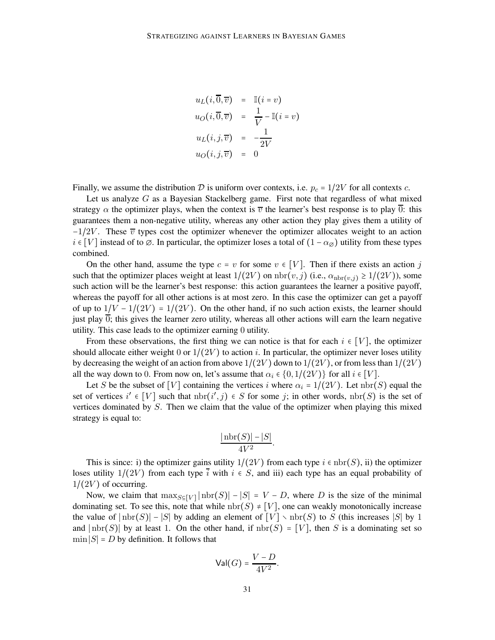$$
u_L(i, \overline{0}, \overline{v}) = \mathbb{I}(i = v)
$$
  
\n
$$
u_O(i, \overline{0}, \overline{v}) = \frac{1}{V} - \mathbb{I}(i = v)
$$
  
\n
$$
u_L(i, j, \overline{v}) = -\frac{1}{2V}
$$
  
\n
$$
u_O(i, j, \overline{v}) = 0
$$

Finally, we assume the distribution D is uniform over contexts, i.e.  $p_c = 1/2V$  for all contexts c.

Let us analyze  $G$  as a Bayesian Stackelberg game. First note that regardless of what mixed strategy  $\alpha$  the optimizer plays, when the context is  $\overline{v}$  the learner's best response is to play  $\overline{0}$ : this guarantees them a non-negative utility, whereas any other action they play gives them a utility of  $-1/2V$ . These  $\overline{v}$  types cost the optimizer whenever the optimizer allocates weight to an action  $i \in [V]$  instead of to  $\emptyset$ . In particular, the optimizer loses a total of  $(1 - \alpha_{\emptyset})$  utility from these types combined.

On the other hand, assume the type  $c = v$  for some  $v \in [V]$ . Then if there exists an action j such that the optimizer places weight at least  $1/(2V)$  on  $\text{nbr}(v, j)$  (i.e.,  $\alpha_{\text{nbr}(v, j)} \ge 1/(2V)$ ), some such action will be the learner's best response: this action guarantees the learner a positive payoff, whereas the payoff for all other actions is at most zero. In this case the optimizer can get a payoff of up to  $1/V - 1/(2V) = 1/(2V)$ . On the other hand, if no such action exists, the learner should just play  $\overline{0}$ ; this gives the learner zero utility, whereas all other actions will earn the learn negative utility. This case leads to the optimizer earning 0 utility.

From these observations, the first thing we can notice is that for each  $i \in [V]$ , the optimizer should allocate either weight 0 or  $1/(2V)$  to action i. In particular, the optimizer never loses utility by decreasing the weight of an action from above  $1/(2V)$  down to  $1/(2V)$ , or from less than  $1/(2V)$ all the way down to 0. From now on, let's assume that  $\alpha_i \in \{0, 1/(2V)\}\)$  for all  $i \in [V]$ .

Let S be the subset of [V] containing the vertices i where  $\alpha_i = 1/(2V)$ . Let nbr(S) equal the set of vertices  $i' \in [V]$  such that  $nbr(i', j) \in S$  for some j; in other words,  $nbr(S)$  is the set of vertices dominated by S. Then we claim that the value of the optimizer when playing this mixed strategy is equal to:

$$
\frac{|\operatorname{nbr}(S)| - |S|}{4V^2}.
$$

This is since: i) the optimizer gains utility  $1/(2V)$  from each type  $i \in \text{nbr}(S)$ , ii) the optimizer loses utility  $1/(2V)$  from each type  $\overline{i}$  with  $i \in S$ , and iii) each type has an equal probability of  $1/(2V)$  of occurring.

Now, we claim that  $\max_{S \subseteq [V]} |\text{nbr}(S)| - |S| = V - D$ , where D is the size of the minimal dominating set. To see this, note that while  $nbr(S) \neq [V]$ , one can weakly monotonically increase the value of  $|\text{nbr}(S)| - |S|$  by adding an element of  $[V] \setminus \text{nbr}(S)$  to S (this increases |S| by 1 and  $|\text{nbr}(S)|$  by at least 1. On the other hand, if  $\text{nbr}(S) = [V]$ , then S is a dominating set so  $\min |S| = D$  by definition. It follows that

$$
\mathsf{Val}(G) = \frac{V - D}{4V^2}.
$$